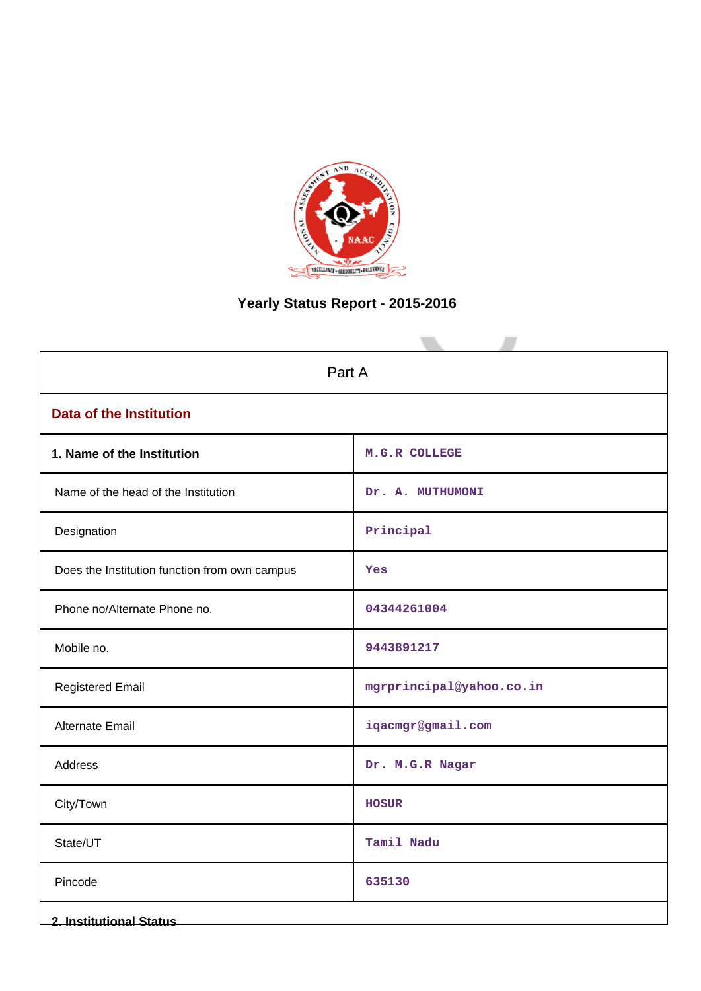

# **Yearly Status Report - 2015-2016**

| Part A                                        |                          |  |  |  |  |
|-----------------------------------------------|--------------------------|--|--|--|--|
| <b>Data of the Institution</b>                |                          |  |  |  |  |
| 1. Name of the Institution                    | M.G.R COLLEGE            |  |  |  |  |
| Name of the head of the Institution           | Dr. A. MUTHUMONI         |  |  |  |  |
| Designation                                   | Principal                |  |  |  |  |
| Does the Institution function from own campus | Yes                      |  |  |  |  |
| Phone no/Alternate Phone no.                  | 04344261004              |  |  |  |  |
| Mobile no.                                    | 9443891217               |  |  |  |  |
| <b>Registered Email</b>                       | mgrprincipal@yahoo.co.in |  |  |  |  |
| Alternate Email                               | iqacmgr@gmail.com        |  |  |  |  |
| Address                                       | Dr. M.G.R Nagar          |  |  |  |  |
| City/Town                                     | <b>HOSUR</b>             |  |  |  |  |
| State/UT                                      | Tamil Nadu               |  |  |  |  |
| Pincode                                       | 635130                   |  |  |  |  |
| <b>2. Institutional Status</b>                |                          |  |  |  |  |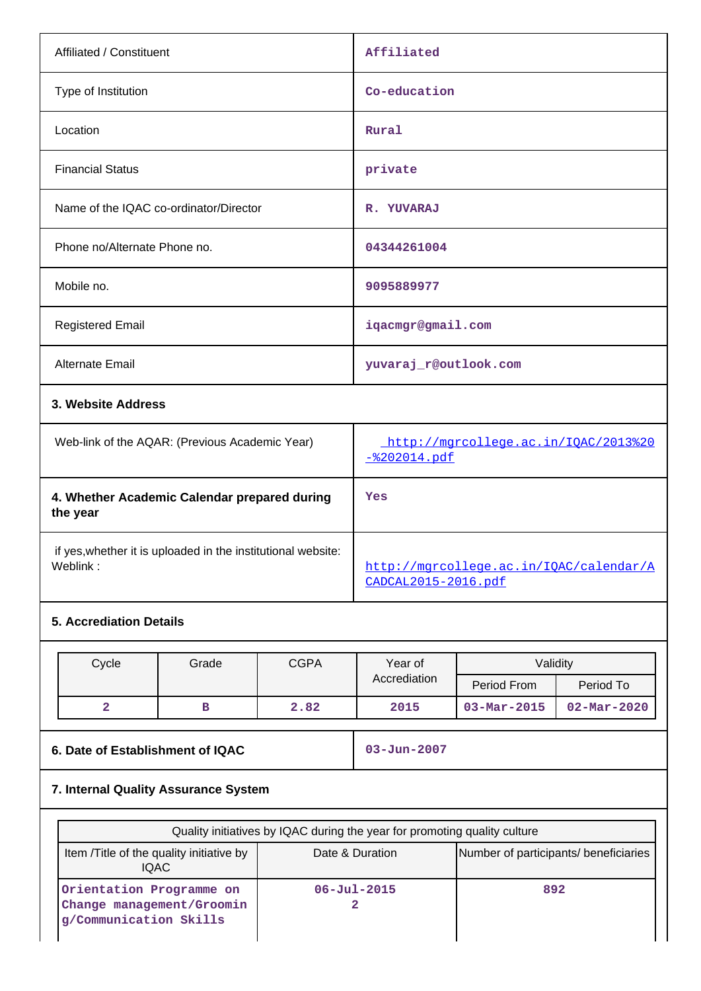| Affiliated / Constituent                                                 | Affiliated                                           |
|--------------------------------------------------------------------------|------------------------------------------------------|
| Type of Institution                                                      | Co-education                                         |
| Location                                                                 | Rural                                                |
| <b>Financial Status</b>                                                  | private                                              |
| Name of the IQAC co-ordinator/Director                                   | R. YUVARAJ                                           |
| Phone no/Alternate Phone no.                                             | 04344261004                                          |
| Mobile no.                                                               | 9095889977                                           |
| <b>Registered Email</b>                                                  | iqacmgr@gmail.com                                    |
| Alternate Email                                                          | yuvaraj_r@outlook.com                                |
| 3. Website Address                                                       |                                                      |
| Web-link of the AQAR: (Previous Academic Year)                           | http://mgrcollege.ac.in/IQAC/2013%20<br>-%202014.pdf |
| 4. Whether Academic Calendar prepared during<br>the year                 | Yes                                                  |
| if yes, whether it is uploaded in the institutional website:<br>Weblink: | http://mgrcollege.ac.in/IQAC/calendar/A              |

## **5. Accrediation Details**

| Cycle | Grade | <b>CGPA</b> | Year of      | Validity                 |                          |
|-------|-------|-------------|--------------|--------------------------|--------------------------|
|       |       |             | Accrediation | Period From              | Period To                |
|       |       | 2.82        | 2015         | $03 - \text{Mar} - 2015$ | $02 - \text{Mar} - 2020$ |

**6. Date of Establishment of IQAC 03-Jun-2007**

[CADCAL2015-2016.pdf](http://mgrcollege.ac.in/IQAC/calendar/ACADCAL2015-2016.pdf)

## **7. Internal Quality Assurance System**

| Quality initiatives by IQAC during the year for promoting quality culture                                            |                          |     |  |  |  |  |  |  |
|----------------------------------------------------------------------------------------------------------------------|--------------------------|-----|--|--|--|--|--|--|
| Number of participants/ beneficiaries<br>Item / Title of the quality initiative by<br>Date & Duration<br><b>IQAC</b> |                          |     |  |  |  |  |  |  |
| Orientation Programme on<br>Change management/Groomin<br>g/Communication Skills                                      | $06 - \text{Jul} - 2015$ | 892 |  |  |  |  |  |  |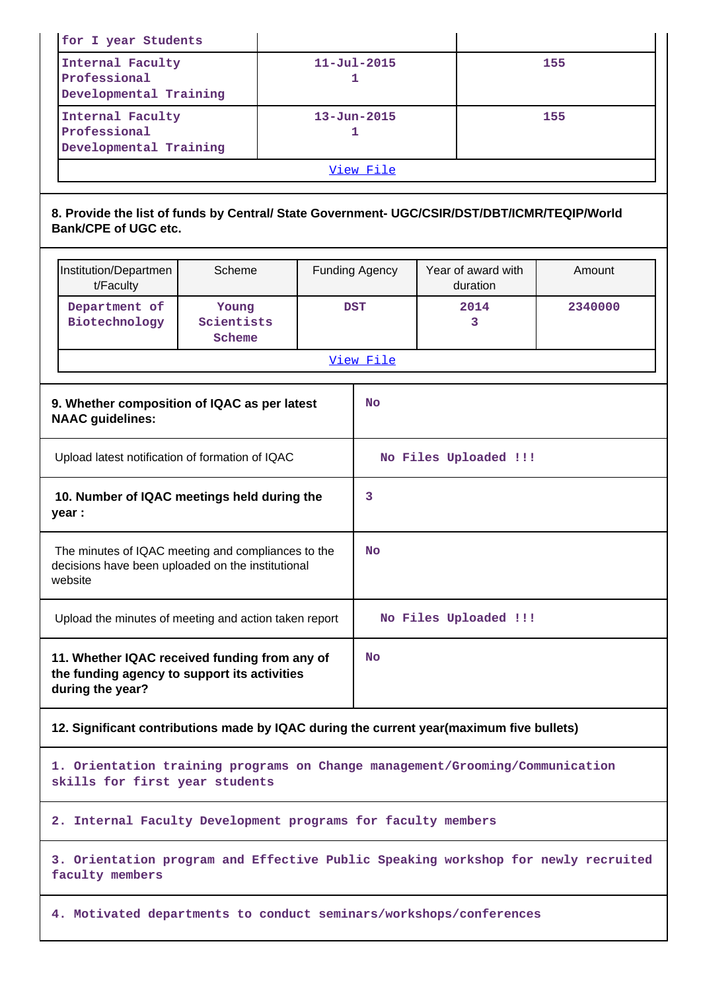| for I year Students                                                                                                         |                                                                                          |                        |                       |                                |         |  |  |
|-----------------------------------------------------------------------------------------------------------------------------|------------------------------------------------------------------------------------------|------------------------|-----------------------|--------------------------------|---------|--|--|
| Internal Faculty<br>Professional<br>Developmental Training                                                                  |                                                                                          | $11 - Ju1 - 2015$<br>1 |                       |                                | 155     |  |  |
| Internal Faculty<br>Professional<br>Developmental Training                                                                  |                                                                                          | $13 - Jun - 2015$<br>1 |                       |                                | 155     |  |  |
|                                                                                                                             |                                                                                          |                        | View File             |                                |         |  |  |
| 8. Provide the list of funds by Central/ State Government- UGC/CSIR/DST/DBT/ICMR/TEQIP/World<br><b>Bank/CPE of UGC etc.</b> |                                                                                          |                        |                       |                                |         |  |  |
| Institution/Departmen<br>t/Faculty                                                                                          | Scheme                                                                                   |                        | <b>Funding Agency</b> | Year of award with<br>duration | Amount  |  |  |
| Department of<br>Biotechnology                                                                                              | Young<br>Scientists<br>Scheme                                                            |                        | <b>DST</b>            | 2014<br>3                      | 2340000 |  |  |
|                                                                                                                             |                                                                                          |                        | View File             |                                |         |  |  |
| 9. Whether composition of IQAC as per latest<br><b>NAAC</b> guidelines:                                                     |                                                                                          |                        | <b>No</b>             |                                |         |  |  |
| Upload latest notification of formation of IQAC                                                                             |                                                                                          |                        |                       | No Files Uploaded !!!          |         |  |  |
| 10. Number of IQAC meetings held during the<br>year :                                                                       |                                                                                          |                        | 3                     |                                |         |  |  |
| The minutes of IQAC meeting and compliances to the<br>decisions have been uploaded on the institutional<br>website          |                                                                                          |                        | No                    |                                |         |  |  |
| Upload the minutes of meeting and action taken report                                                                       |                                                                                          |                        |                       | No Files Uploaded !!!          |         |  |  |
| 11. Whether IQAC received funding from any of<br>the funding agency to support its activities<br>during the year?           |                                                                                          |                        | <b>No</b>             |                                |         |  |  |
|                                                                                                                             | 12. Significant contributions made by IQAC during the current year(maximum five bullets) |                        |                       |                                |         |  |  |
| 1. Orientation training programs on Change management/Grooming/Communication<br>skills for first year students              |                                                                                          |                        |                       |                                |         |  |  |
|                                                                                                                             | 2. Internal Faculty Development programs for faculty members                             |                        |                       |                                |         |  |  |
| faculty members                                                                                                             | 3. Orientation program and Effective Public Speaking workshop for newly recruited        |                        |                       |                                |         |  |  |
| 4. Motivated departments to conduct seminars/workshops/conferences                                                          |                                                                                          |                        |                       |                                |         |  |  |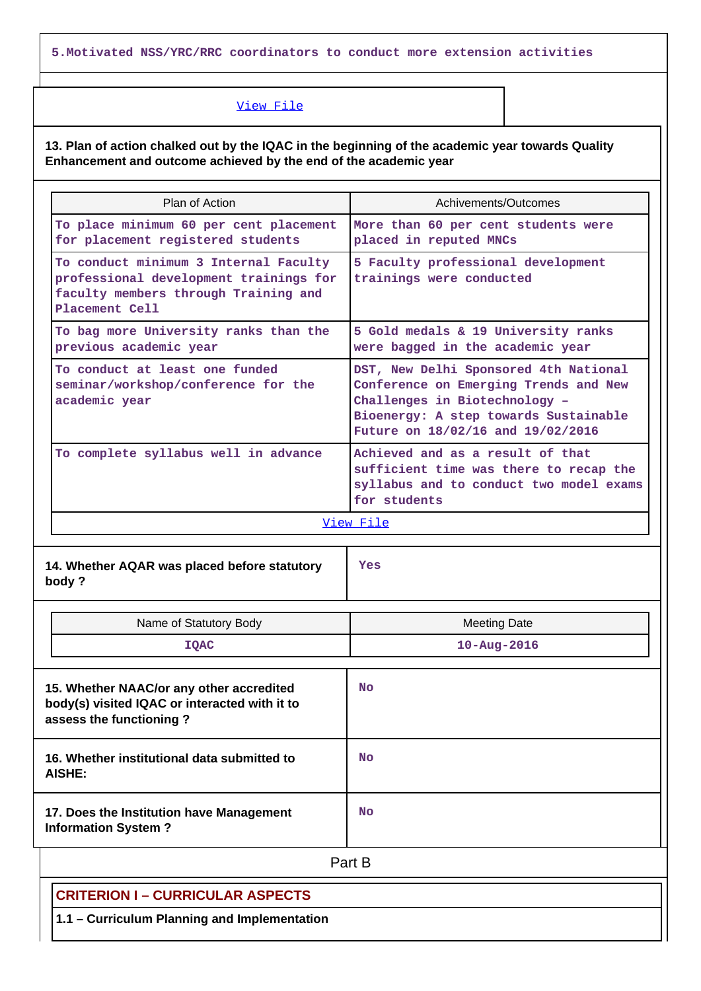**5.Motivated NSS/YRC/RRC coordinators to conduct more extension activities**

#### [View File](https://assessmentonline.naac.gov.in/public/Postacc/Contribution/2050_Contribution.xlsx)

**13. Plan of action chalked out by the IQAC in the beginning of the academic year towards Quality Enhancement and outcome achieved by the end of the academic year**

| Plan of Action                                                                                                                            | Achivements/Outcomes                                                                                                                                                                          |  |  |  |  |  |
|-------------------------------------------------------------------------------------------------------------------------------------------|-----------------------------------------------------------------------------------------------------------------------------------------------------------------------------------------------|--|--|--|--|--|
| To place minimum 60 per cent placement<br>for placement registered students                                                               | More than 60 per cent students were<br>placed in reputed MNCs                                                                                                                                 |  |  |  |  |  |
| To conduct minimum 3 Internal Faculty<br>professional development trainings for<br>faculty members through Training and<br>Placement Cell | 5 Faculty professional development<br>trainings were conducted                                                                                                                                |  |  |  |  |  |
| To bag more University ranks than the<br>previous academic year                                                                           | 5 Gold medals & 19 University ranks<br>were bagged in the academic year                                                                                                                       |  |  |  |  |  |
| To conduct at least one funded<br>seminar/workshop/conference for the<br>academic year                                                    | DST, New Delhi Sponsored 4th National<br>Conference on Emerging Trends and New<br>Challenges in Biotechnology -<br>Bioenergy: A step towards Sustainable<br>Future on 18/02/16 and 19/02/2016 |  |  |  |  |  |
| To complete syllabus well in advance                                                                                                      | Achieved and as a result of that<br>sufficient time was there to recap the<br>syllabus and to conduct two model exams<br>for students                                                         |  |  |  |  |  |
| View File                                                                                                                                 |                                                                                                                                                                                               |  |  |  |  |  |

**14. Whether AQAR was placed before statutory body ?**

**Yes**

| Name of Statutory Body                                                                                               | <b>Meeting Date</b> |
|----------------------------------------------------------------------------------------------------------------------|---------------------|
| <b>IQAC</b>                                                                                                          | $10 - Aug - 2016$   |
| 15. Whether NAAC/or any other accredited<br>body(s) visited IQAC or interacted with it to<br>assess the functioning? | <b>No</b>           |
| 16. Whether institutional data submitted to<br>AISHE:                                                                | <b>No</b>           |
| 17. Does the Institution have Management<br><b>Information System?</b>                                               | <b>No</b>           |

**Part B** 

## **CRITERION I – CURRICULAR ASPECTS**

**1.1 – Curriculum Planning and Implementation**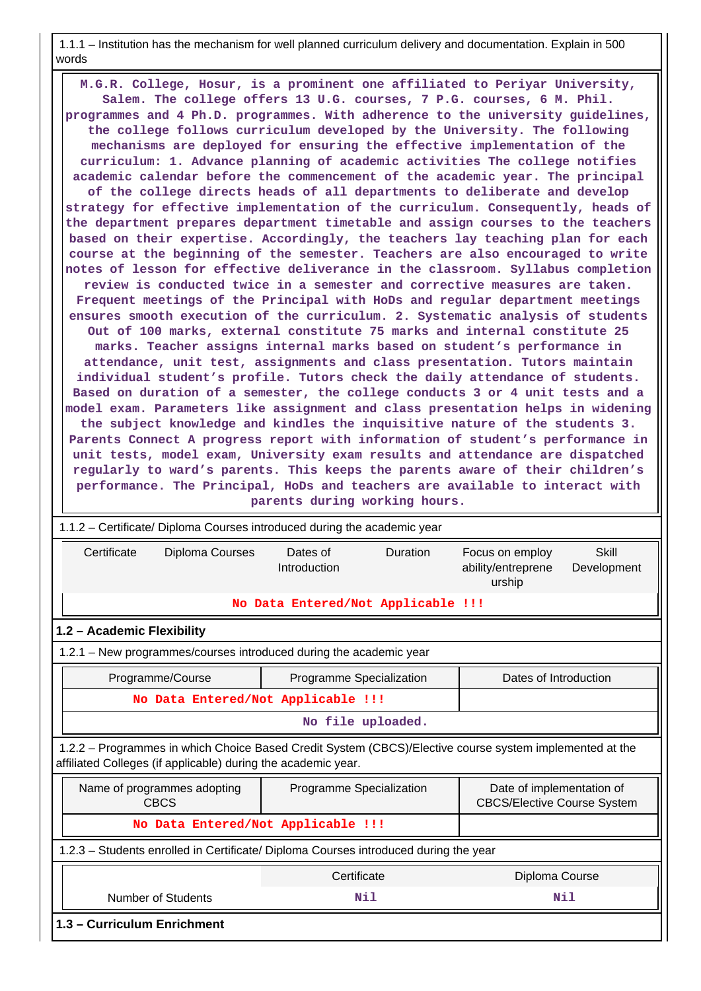1.1.1 – Institution has the mechanism for well planned curriculum delivery and documentation. Explain in 500 words

 **M.G.R. College, Hosur, is a prominent one affiliated to Periyar University, Salem. The college offers 13 U.G. courses, 7 P.G. courses, 6 M. Phil. programmes and 4 Ph.D. programmes. With adherence to the university guidelines, the college follows curriculum developed by the University. The following mechanisms are deployed for ensuring the effective implementation of the curriculum: 1. Advance planning of academic activities The college notifies academic calendar before the commencement of the academic year. The principal of the college directs heads of all departments to deliberate and develop strategy for effective implementation of the curriculum. Consequently, heads of the department prepares department timetable and assign courses to the teachers based on their expertise. Accordingly, the teachers lay teaching plan for each course at the beginning of the semester. Teachers are also encouraged to write notes of lesson for effective deliverance in the classroom. Syllabus completion review is conducted twice in a semester and corrective measures are taken. Frequent meetings of the Principal with HoDs and regular department meetings ensures smooth execution of the curriculum. 2. Systematic analysis of students Out of 100 marks, external constitute 75 marks and internal constitute 25 marks. Teacher assigns internal marks based on student's performance in attendance, unit test, assignments and class presentation. Tutors maintain individual student's profile. Tutors check the daily attendance of students. Based on duration of a semester, the college conducts 3 or 4 unit tests and a model exam. Parameters like assignment and class presentation helps in widening the subject knowledge and kindles the inquisitive nature of the students 3. Parents Connect A progress report with information of student's performance in unit tests, model exam, University exam results and attendance are dispatched regularly to ward's parents. This keeps the parents aware of their children's performance. The Principal, HoDs and teachers are available to interact with parents during working hours.**

| 1.1.2 – Certificate/ Diploma Courses introduced during the academic year                                                                                                 |                                    |          |                                                                 |                      |  |  |  |  |
|--------------------------------------------------------------------------------------------------------------------------------------------------------------------------|------------------------------------|----------|-----------------------------------------------------------------|----------------------|--|--|--|--|
| Certificate<br>Diploma Courses                                                                                                                                           | Dates of<br>Introduction           | Duration | Focus on employ<br>ability/entreprene<br>urship                 | Skill<br>Development |  |  |  |  |
|                                                                                                                                                                          | No Data Entered/Not Applicable !!! |          |                                                                 |                      |  |  |  |  |
| 1.2 - Academic Flexibility                                                                                                                                               |                                    |          |                                                                 |                      |  |  |  |  |
| 1.2.1 – New programmes/courses introduced during the academic year                                                                                                       |                                    |          |                                                                 |                      |  |  |  |  |
| Programme/Course<br>Dates of Introduction<br>Programme Specialization                                                                                                    |                                    |          |                                                                 |                      |  |  |  |  |
| No Data Entered/Not Applicable !!!                                                                                                                                       |                                    |          |                                                                 |                      |  |  |  |  |
|                                                                                                                                                                          | No file uploaded.                  |          |                                                                 |                      |  |  |  |  |
| 1.2.2 - Programmes in which Choice Based Credit System (CBCS)/Elective course system implemented at the<br>affiliated Colleges (if applicable) during the academic year. |                                    |          |                                                                 |                      |  |  |  |  |
| Name of programmes adopting<br><b>CBCS</b>                                                                                                                               | Programme Specialization           |          | Date of implementation of<br><b>CBCS/Elective Course System</b> |                      |  |  |  |  |
| No Data Entered/Not Applicable !!!                                                                                                                                       |                                    |          |                                                                 |                      |  |  |  |  |
| 1.2.3 - Students enrolled in Certificate/ Diploma Courses introduced during the year                                                                                     |                                    |          |                                                                 |                      |  |  |  |  |
| Certificate<br>Diploma Course                                                                                                                                            |                                    |          |                                                                 |                      |  |  |  |  |
| <b>Number of Students</b><br>Nil<br>Nil                                                                                                                                  |                                    |          |                                                                 |                      |  |  |  |  |
| 1.3 - Curriculum Enrichment                                                                                                                                              |                                    |          |                                                                 |                      |  |  |  |  |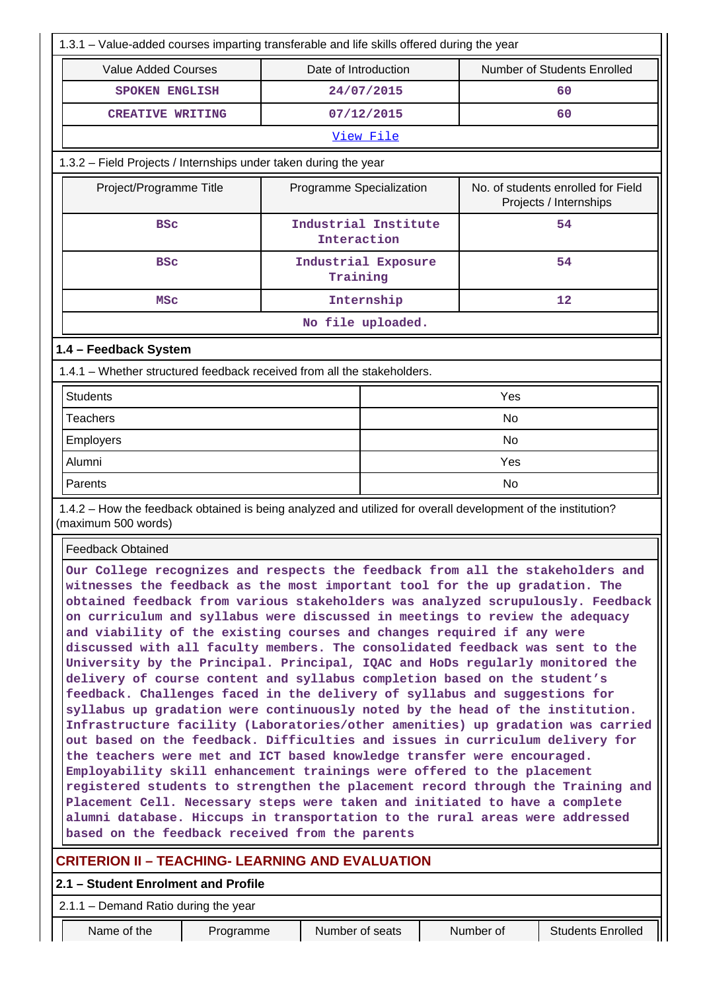| 1.3.1 - Value-added courses imparting transferable and life skills offered during the year                                                                                                                                                                                                                                                                                                                                                                                                                                                                                                                                                                                                                                                                                                                                                                                                                                                                                                                                                                                                                                                                                                                                                                                                                                                                                                                                                              |                                     |                      |                                                              |  |  |  |  |
|---------------------------------------------------------------------------------------------------------------------------------------------------------------------------------------------------------------------------------------------------------------------------------------------------------------------------------------------------------------------------------------------------------------------------------------------------------------------------------------------------------------------------------------------------------------------------------------------------------------------------------------------------------------------------------------------------------------------------------------------------------------------------------------------------------------------------------------------------------------------------------------------------------------------------------------------------------------------------------------------------------------------------------------------------------------------------------------------------------------------------------------------------------------------------------------------------------------------------------------------------------------------------------------------------------------------------------------------------------------------------------------------------------------------------------------------------------|-------------------------------------|----------------------|--------------------------------------------------------------|--|--|--|--|
| <b>Value Added Courses</b>                                                                                                                                                                                                                                                                                                                                                                                                                                                                                                                                                                                                                                                                                                                                                                                                                                                                                                                                                                                                                                                                                                                                                                                                                                                                                                                                                                                                                              | Date of Introduction                |                      | Number of Students Enrolled                                  |  |  |  |  |
| <b>SPOKEN ENGLISH</b>                                                                                                                                                                                                                                                                                                                                                                                                                                                                                                                                                                                                                                                                                                                                                                                                                                                                                                                                                                                                                                                                                                                                                                                                                                                                                                                                                                                                                                   |                                     | 24/07/2015           | 60                                                           |  |  |  |  |
| <b>CREATIVE WRITING</b>                                                                                                                                                                                                                                                                                                                                                                                                                                                                                                                                                                                                                                                                                                                                                                                                                                                                                                                                                                                                                                                                                                                                                                                                                                                                                                                                                                                                                                 |                                     | 07/12/2015           | 60                                                           |  |  |  |  |
|                                                                                                                                                                                                                                                                                                                                                                                                                                                                                                                                                                                                                                                                                                                                                                                                                                                                                                                                                                                                                                                                                                                                                                                                                                                                                                                                                                                                                                                         |                                     | View File            |                                                              |  |  |  |  |
| 1.3.2 - Field Projects / Internships under taken during the year                                                                                                                                                                                                                                                                                                                                                                                                                                                                                                                                                                                                                                                                                                                                                                                                                                                                                                                                                                                                                                                                                                                                                                                                                                                                                                                                                                                        |                                     |                      |                                                              |  |  |  |  |
| Project/Programme Title                                                                                                                                                                                                                                                                                                                                                                                                                                                                                                                                                                                                                                                                                                                                                                                                                                                                                                                                                                                                                                                                                                                                                                                                                                                                                                                                                                                                                                 | Programme Specialization            |                      | No. of students enrolled for Field<br>Projects / Internships |  |  |  |  |
| <b>BSC</b>                                                                                                                                                                                                                                                                                                                                                                                                                                                                                                                                                                                                                                                                                                                                                                                                                                                                                                                                                                                                                                                                                                                                                                                                                                                                                                                                                                                                                                              | Interaction                         | Industrial Institute | 54                                                           |  |  |  |  |
| <b>BSC</b>                                                                                                                                                                                                                                                                                                                                                                                                                                                                                                                                                                                                                                                                                                                                                                                                                                                                                                                                                                                                                                                                                                                                                                                                                                                                                                                                                                                                                                              | Training                            | Industrial Exposure  | 54                                                           |  |  |  |  |
| <b>MSC</b>                                                                                                                                                                                                                                                                                                                                                                                                                                                                                                                                                                                                                                                                                                                                                                                                                                                                                                                                                                                                                                                                                                                                                                                                                                                                                                                                                                                                                                              |                                     | Internship           | 12                                                           |  |  |  |  |
|                                                                                                                                                                                                                                                                                                                                                                                                                                                                                                                                                                                                                                                                                                                                                                                                                                                                                                                                                                                                                                                                                                                                                                                                                                                                                                                                                                                                                                                         |                                     | No file uploaded.    |                                                              |  |  |  |  |
| 1.4 - Feedback System                                                                                                                                                                                                                                                                                                                                                                                                                                                                                                                                                                                                                                                                                                                                                                                                                                                                                                                                                                                                                                                                                                                                                                                                                                                                                                                                                                                                                                   |                                     |                      |                                                              |  |  |  |  |
| 1.4.1 – Whether structured feedback received from all the stakeholders.                                                                                                                                                                                                                                                                                                                                                                                                                                                                                                                                                                                                                                                                                                                                                                                                                                                                                                                                                                                                                                                                                                                                                                                                                                                                                                                                                                                 |                                     |                      |                                                              |  |  |  |  |
| <b>Students</b>                                                                                                                                                                                                                                                                                                                                                                                                                                                                                                                                                                                                                                                                                                                                                                                                                                                                                                                                                                                                                                                                                                                                                                                                                                                                                                                                                                                                                                         |                                     |                      | Yes                                                          |  |  |  |  |
| <b>Teachers</b>                                                                                                                                                                                                                                                                                                                                                                                                                                                                                                                                                                                                                                                                                                                                                                                                                                                                                                                                                                                                                                                                                                                                                                                                                                                                                                                                                                                                                                         |                                     |                      | <b>No</b>                                                    |  |  |  |  |
| Employers                                                                                                                                                                                                                                                                                                                                                                                                                                                                                                                                                                                                                                                                                                                                                                                                                                                                                                                                                                                                                                                                                                                                                                                                                                                                                                                                                                                                                                               |                                     | No                   |                                                              |  |  |  |  |
| Alumni                                                                                                                                                                                                                                                                                                                                                                                                                                                                                                                                                                                                                                                                                                                                                                                                                                                                                                                                                                                                                                                                                                                                                                                                                                                                                                                                                                                                                                                  |                                     | Yes                  |                                                              |  |  |  |  |
| Parents                                                                                                                                                                                                                                                                                                                                                                                                                                                                                                                                                                                                                                                                                                                                                                                                                                                                                                                                                                                                                                                                                                                                                                                                                                                                                                                                                                                                                                                 |                                     | <b>No</b>            |                                                              |  |  |  |  |
| 1.4.2 - How the feedback obtained is being analyzed and utilized for overall development of the institution?<br>(maximum 500 words)                                                                                                                                                                                                                                                                                                                                                                                                                                                                                                                                                                                                                                                                                                                                                                                                                                                                                                                                                                                                                                                                                                                                                                                                                                                                                                                     |                                     |                      |                                                              |  |  |  |  |
| <b>Feedback Obtained</b>                                                                                                                                                                                                                                                                                                                                                                                                                                                                                                                                                                                                                                                                                                                                                                                                                                                                                                                                                                                                                                                                                                                                                                                                                                                                                                                                                                                                                                |                                     |                      |                                                              |  |  |  |  |
| Our College recognizes and respects the feedback from all the stakeholders and<br>witnesses the feedback as the most important tool for the up gradation. The<br>obtained feedback from various stakeholders was analyzed scrupulously. Feedback<br>on curriculum and syllabus were discussed in meetings to review the adequacy<br>and viability of the existing courses and changes required if any were<br>discussed with all faculty members. The consolidated feedback was sent to the<br>University by the Principal. Principal, IQAC and HoDs regularly monitored the<br>delivery of course content and syllabus completion based on the student's<br>feedback. Challenges faced in the delivery of syllabus and suggestions for<br>syllabus up gradation were continuously noted by the head of the institution.<br>Infrastructure facility (Laboratories/other amenities) up gradation was carried<br>out based on the feedback. Difficulties and issues in curriculum delivery for<br>the teachers were met and ICT based knowledge transfer were encouraged.<br>Employability skill enhancement trainings were offered to the placement<br>registered students to strengthen the placement record through the Training and<br>Placement Cell. Necessary steps were taken and initiated to have a complete<br>alumni database. Hiccups in transportation to the rural areas were addressed<br>based on the feedback received from the parents |                                     |                      |                                                              |  |  |  |  |
| <b>CRITERION II - TEACHING- LEARNING AND EVALUATION</b>                                                                                                                                                                                                                                                                                                                                                                                                                                                                                                                                                                                                                                                                                                                                                                                                                                                                                                                                                                                                                                                                                                                                                                                                                                                                                                                                                                                                 |                                     |                      |                                                              |  |  |  |  |
| 2.1.1 - Demand Ratio during the year                                                                                                                                                                                                                                                                                                                                                                                                                                                                                                                                                                                                                                                                                                                                                                                                                                                                                                                                                                                                                                                                                                                                                                                                                                                                                                                                                                                                                    | 2.1 - Student Enrolment and Profile |                      |                                                              |  |  |  |  |

Name of the **Programme** Number of seats Number of Students Enrolled

Ш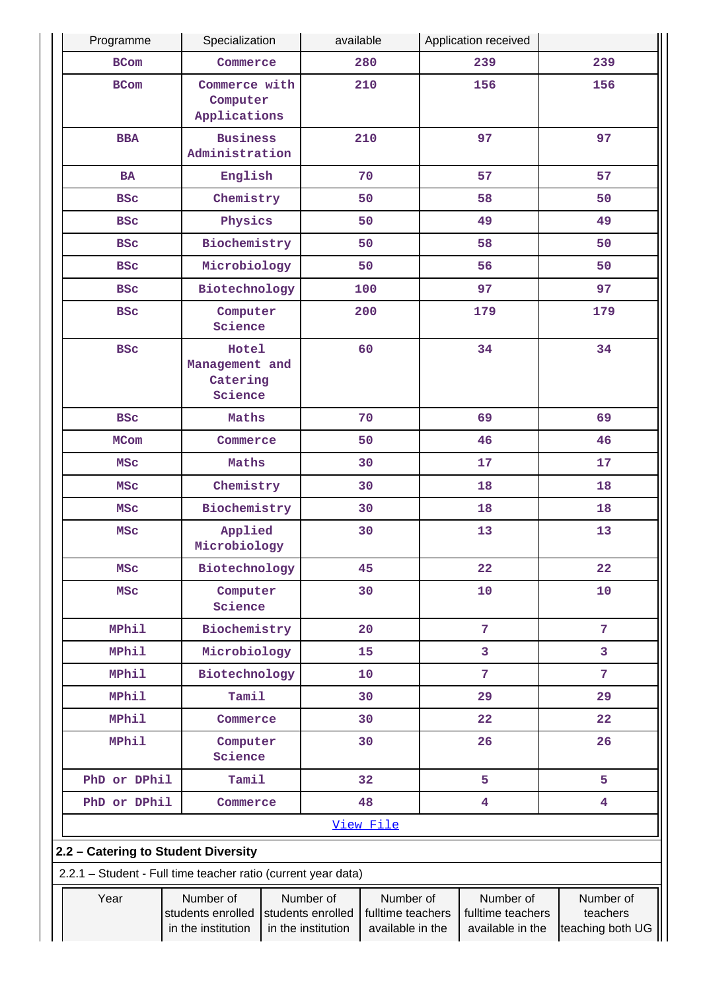| Programme                                                     | Specialization                                                                                                                                                     |  | available |           |                                                    | Application received                      |                         |  |
|---------------------------------------------------------------|--------------------------------------------------------------------------------------------------------------------------------------------------------------------|--|-----------|-----------|----------------------------------------------------|-------------------------------------------|-------------------------|--|
| <b>BCom</b>                                                   | Commerce                                                                                                                                                           |  |           | 280       |                                                    | 239                                       | 239                     |  |
| <b>BCom</b>                                                   | Commerce with<br>Computer<br>Applications                                                                                                                          |  | 210       |           |                                                    | 156                                       | 156                     |  |
| <b>BBA</b>                                                    | <b>Business</b><br>Administration                                                                                                                                  |  |           | 210       |                                                    | 97                                        | 97                      |  |
| <b>BA</b>                                                     | English                                                                                                                                                            |  |           | 70        |                                                    | 57                                        | 57                      |  |
| <b>BSC</b>                                                    | Chemistry                                                                                                                                                          |  |           | 50        |                                                    | 58                                        | 50                      |  |
| <b>BSC</b>                                                    | Physics                                                                                                                                                            |  |           | 50        |                                                    | 49                                        | 49                      |  |
| <b>BSC</b>                                                    | Biochemistry                                                                                                                                                       |  |           | 50        |                                                    | 58                                        | 50                      |  |
| <b>BSC</b>                                                    | Microbiology                                                                                                                                                       |  |           | 50        |                                                    | 56                                        | 50                      |  |
| <b>BSC</b>                                                    | Biotechnology                                                                                                                                                      |  |           | 100       |                                                    | 97                                        | 97                      |  |
| <b>BSC</b>                                                    | Computer<br>Science                                                                                                                                                |  |           | 200       |                                                    | 179                                       | 179                     |  |
| <b>BSC</b>                                                    | Hotel<br>Management and<br>Catering<br>Science                                                                                                                     |  |           | 60        |                                                    | 34                                        | 34                      |  |
| <b>BSC</b>                                                    | Maths                                                                                                                                                              |  |           | 70        |                                                    | 69                                        | 69                      |  |
| <b>MCom</b>                                                   | Commerce                                                                                                                                                           |  |           | 50        |                                                    | 46                                        | 46                      |  |
| <b>MSC</b>                                                    | Maths                                                                                                                                                              |  |           | 30        |                                                    | 17                                        | 17                      |  |
| <b>MSC</b>                                                    | Chemistry                                                                                                                                                          |  |           | 30        |                                                    | 18                                        | 18                      |  |
| <b>MSC</b>                                                    | Biochemistry                                                                                                                                                       |  |           | 30        |                                                    | 18                                        | 18                      |  |
| <b>MSC</b>                                                    | Applied<br>Microbiology                                                                                                                                            |  | 30        |           | 13                                                 |                                           | 13                      |  |
| <b>MSC</b>                                                    | Biotechnology                                                                                                                                                      |  |           | 45        |                                                    | 22                                        | 22                      |  |
| <b>MSC</b>                                                    | Computer<br>Science                                                                                                                                                |  |           | 30        | 10                                                 |                                           | 10                      |  |
| <b>MPhil</b>                                                  | Biochemistry                                                                                                                                                       |  |           | 20        |                                                    | 7                                         | $\overline{7}$          |  |
| <b>MPhil</b>                                                  | Microbiology                                                                                                                                                       |  |           | 15        |                                                    | 3                                         | 3                       |  |
| <b>MPhil</b>                                                  | Biotechnology                                                                                                                                                      |  |           | 10        |                                                    | 7                                         | 7                       |  |
| <b>MPhil</b>                                                  | Tamil                                                                                                                                                              |  |           | 30        | 29                                                 |                                           | 29                      |  |
| <b>MPhil</b>                                                  | Commerce                                                                                                                                                           |  |           | 30        |                                                    | 22                                        | 22                      |  |
| <b>MPhil</b>                                                  | Computer<br>Science                                                                                                                                                |  |           | 30        |                                                    | 26                                        | 26                      |  |
| PhD or DPhil                                                  | Tamil                                                                                                                                                              |  |           | 32        |                                                    | 5                                         | 5                       |  |
| PhD or DPhil                                                  | Commerce                                                                                                                                                           |  |           | 48        |                                                    | $\overline{\mathbf{4}}$                   | $\overline{\mathbf{4}}$ |  |
|                                                               |                                                                                                                                                                    |  |           | View File |                                                    |                                           |                         |  |
| 2.2 - Catering to Student Diversity                           |                                                                                                                                                                    |  |           |           |                                                    |                                           |                         |  |
| 2.2.1 - Student - Full time teacher ratio (current year data) |                                                                                                                                                                    |  |           |           |                                                    |                                           |                         |  |
| Year                                                          | Number of<br>Number of<br>Number of<br>students enrolled<br>students enrolled<br>fulltime teachers<br>in the institution<br>in the institution<br>available in the |  |           |           | Number of<br>fulltime teachers<br>available in the | Number of<br>teachers<br>teaching both UG |                         |  |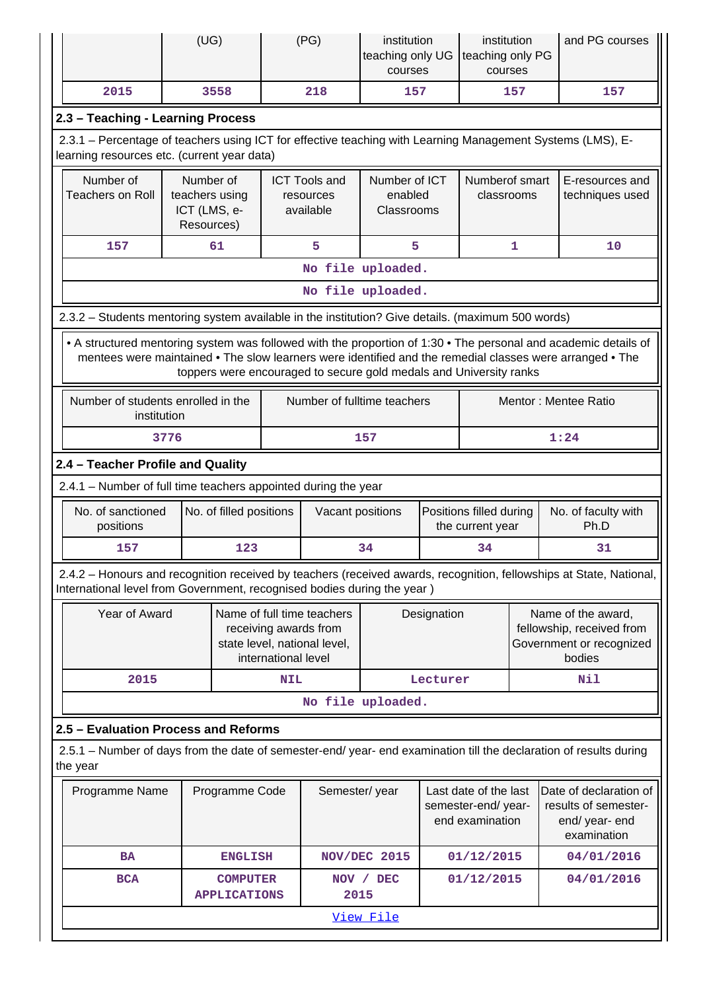|          |                                                                                                                                                           | (UG)                                                      |                                        |                     | (PG)                                                                                     | institution<br>teaching only UG<br>courses |                                             | institution<br>teaching only PG<br>courses                     |                                                                             | and PG courses                                                                                                                                                                                                              |
|----------|-----------------------------------------------------------------------------------------------------------------------------------------------------------|-----------------------------------------------------------|----------------------------------------|---------------------|------------------------------------------------------------------------------------------|--------------------------------------------|---------------------------------------------|----------------------------------------------------------------|-----------------------------------------------------------------------------|-----------------------------------------------------------------------------------------------------------------------------------------------------------------------------------------------------------------------------|
|          | 2015                                                                                                                                                      |                                                           | 3558                                   |                     | 218                                                                                      | 157                                        |                                             |                                                                | 157                                                                         | 157                                                                                                                                                                                                                         |
|          | 2.3 - Teaching - Learning Process                                                                                                                         |                                                           |                                        |                     |                                                                                          |                                            |                                             |                                                                |                                                                             |                                                                                                                                                                                                                             |
|          | 2.3.1 – Percentage of teachers using ICT for effective teaching with Learning Management Systems (LMS), E-<br>learning resources etc. (current year data) |                                                           |                                        |                     |                                                                                          |                                            |                                             |                                                                |                                                                             |                                                                                                                                                                                                                             |
|          | Number of<br><b>Teachers on Roll</b>                                                                                                                      | Number of<br>teachers using<br>ICT (LMS, e-<br>Resources) |                                        |                     | Number of ICT<br><b>ICT Tools and</b><br>enabled<br>resources<br>available<br>Classrooms |                                            |                                             | Numberof smart<br>classrooms                                   |                                                                             | E-resources and<br>techniques used                                                                                                                                                                                          |
|          | 157                                                                                                                                                       |                                                           | 61                                     |                     | 5                                                                                        | 5                                          |                                             |                                                                | $\mathbf{1}$                                                                | 10                                                                                                                                                                                                                          |
|          |                                                                                                                                                           |                                                           |                                        |                     |                                                                                          | No file uploaded.                          |                                             |                                                                |                                                                             |                                                                                                                                                                                                                             |
|          |                                                                                                                                                           |                                                           |                                        |                     |                                                                                          | No file uploaded.                          |                                             |                                                                |                                                                             |                                                                                                                                                                                                                             |
|          | 2.3.2 - Students mentoring system available in the institution? Give details. (maximum 500 words)                                                         |                                                           |                                        |                     |                                                                                          |                                            |                                             |                                                                |                                                                             |                                                                                                                                                                                                                             |
|          |                                                                                                                                                           |                                                           |                                        |                     | toppers were encouraged to secure gold medals and University ranks                       |                                            |                                             |                                                                |                                                                             | • A structured mentoring system was followed with the proportion of 1:30 • The personal and academic details of<br>mentees were maintained • The slow learners were identified and the remedial classes were arranged • The |
|          | Number of students enrolled in the<br>institution                                                                                                         |                                                           |                                        |                     | Number of fulltime teachers                                                              |                                            |                                             |                                                                |                                                                             | Mentor: Mentee Ratio                                                                                                                                                                                                        |
|          |                                                                                                                                                           | 3776                                                      |                                        |                     |                                                                                          | 157                                        |                                             |                                                                |                                                                             | 1:24                                                                                                                                                                                                                        |
|          | 2.4 - Teacher Profile and Quality                                                                                                                         |                                                           |                                        |                     |                                                                                          |                                            |                                             |                                                                |                                                                             |                                                                                                                                                                                                                             |
|          | 2.4.1 - Number of full time teachers appointed during the year                                                                                            |                                                           |                                        |                     |                                                                                          |                                            |                                             |                                                                |                                                                             |                                                                                                                                                                                                                             |
|          | No. of sanctioned<br>positions                                                                                                                            |                                                           | No. of filled positions                |                     | Vacant positions                                                                         |                                            | Positions filled during<br>the current year |                                                                | No. of faculty with<br>Ph.D                                                 |                                                                                                                                                                                                                             |
|          | 157                                                                                                                                                       |                                                           | 123                                    |                     |                                                                                          | 34                                         |                                             | 34                                                             |                                                                             | 31                                                                                                                                                                                                                          |
|          | International level from Government, recognised bodies during the year)                                                                                   |                                                           |                                        |                     |                                                                                          |                                            |                                             |                                                                |                                                                             | 2.4.2 - Honours and recognition received by teachers (received awards, recognition, fellowships at State, National,                                                                                                         |
|          | Year of Award                                                                                                                                             |                                                           |                                        | international level | Name of full time teachers<br>receiving awards from<br>state level, national level,      |                                            | Designation<br>bodies                       |                                                                | Name of the award,<br>fellowship, received from<br>Government or recognized |                                                                                                                                                                                                                             |
|          | 2015                                                                                                                                                      |                                                           |                                        | <b>NIL</b>          |                                                                                          |                                            | Lecturer                                    |                                                                |                                                                             | Nil                                                                                                                                                                                                                         |
|          |                                                                                                                                                           |                                                           |                                        |                     |                                                                                          | No file uploaded.                          |                                             |                                                                |                                                                             |                                                                                                                                                                                                                             |
|          | 2.5 - Evaluation Process and Reforms                                                                                                                      |                                                           |                                        |                     |                                                                                          |                                            |                                             |                                                                |                                                                             |                                                                                                                                                                                                                             |
| the year |                                                                                                                                                           |                                                           |                                        |                     |                                                                                          |                                            |                                             |                                                                |                                                                             | 2.5.1 – Number of days from the date of semester-end/ year- end examination till the declaration of results during                                                                                                          |
|          | Programme Name                                                                                                                                            |                                                           | Programme Code                         |                     | Semester/year                                                                            |                                            |                                             | Last date of the last<br>semester-end/year-<br>end examination |                                                                             | Date of declaration of<br>results of semester-<br>end/ year- end<br>examination                                                                                                                                             |
|          | <b>BA</b>                                                                                                                                                 |                                                           | <b>ENGLISH</b>                         |                     |                                                                                          | NOV/DEC 2015                               |                                             | 01/12/2015                                                     |                                                                             | 04/01/2016                                                                                                                                                                                                                  |
|          | <b>BCA</b>                                                                                                                                                |                                                           | <b>COMPUTER</b><br><b>APPLICATIONS</b> |                     | 2015                                                                                     | NOV / DEC                                  |                                             | 01/12/2015                                                     |                                                                             | 04/01/2016                                                                                                                                                                                                                  |
|          |                                                                                                                                                           |                                                           |                                        |                     |                                                                                          | View File                                  |                                             |                                                                |                                                                             |                                                                                                                                                                                                                             |
|          |                                                                                                                                                           |                                                           |                                        |                     |                                                                                          |                                            |                                             |                                                                |                                                                             |                                                                                                                                                                                                                             |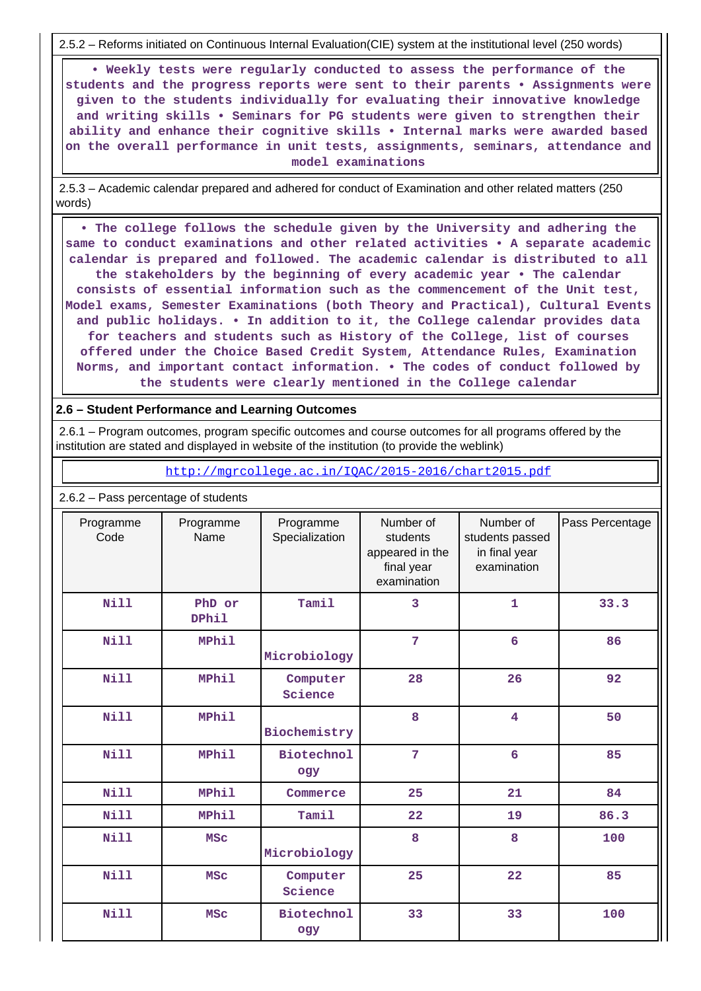2.5.2 – Reforms initiated on Continuous Internal Evaluation(CIE) system at the institutional level (250 words)

 **• Weekly tests were regularly conducted to assess the performance of the students and the progress reports were sent to their parents • Assignments were given to the students individually for evaluating their innovative knowledge and writing skills • Seminars for PG students were given to strengthen their ability and enhance their cognitive skills • Internal marks were awarded based on the overall performance in unit tests, assignments, seminars, attendance and model examinations**

 2.5.3 – Academic calendar prepared and adhered for conduct of Examination and other related matters (250 words)

 **• The college follows the schedule given by the University and adhering the same to conduct examinations and other related activities • A separate academic calendar is prepared and followed. The academic calendar is distributed to all the stakeholders by the beginning of every academic year • The calendar consists of essential information such as the commencement of the Unit test, Model exams, Semester Examinations (both Theory and Practical), Cultural Events and public holidays. • In addition to it, the College calendar provides data for teachers and students such as History of the College, list of courses offered under the Choice Based Credit System, Attendance Rules, Examination Norms, and important contact information. • The codes of conduct followed by the students were clearly mentioned in the College calendar**

#### **2.6 – Student Performance and Learning Outcomes**

 2.6.1 – Program outcomes, program specific outcomes and course outcomes for all programs offered by the institution are stated and displayed in website of the institution (to provide the weblink)

<http://mgrcollege.ac.in/IQAC/2015-2016/chart2015.pdf>

| Programme<br>Code | Programme<br>Name      | Programme<br>Specialization | Number of<br>students<br>appeared in the<br>final year<br>examination | Number of<br>students passed<br>in final year<br>examination | Pass Percentage |
|-------------------|------------------------|-----------------------------|-----------------------------------------------------------------------|--------------------------------------------------------------|-----------------|
| Nill              | PhD or<br><b>DPhil</b> | Tamil                       | 3                                                                     | $\mathbf{1}$                                                 | 33.3            |
| Nill              | <b>MPhil</b>           | Microbiology                | $\overline{7}$                                                        | 6                                                            | 86              |
| <b>Nill</b>       | MPhil                  | Computer<br>Science         | 28                                                                    | 26                                                           | 92              |
| Nill              | MPhil                  | Biochemistry                | 8                                                                     | $\overline{\mathbf{4}}$                                      | 50              |
| <b>Nill</b>       | MPhil                  | <b>Biotechnol</b><br>ogy    | 7                                                                     | 6                                                            | 85              |
| <b>Nill</b>       | <b>MPhil</b>           | Commerce                    | 25                                                                    | 21                                                           | 84              |
| <b>Nill</b>       | <b>MPhil</b>           | Tamil                       | 22                                                                    | 19                                                           | 86.3            |
| <b>Nill</b>       | <b>MSC</b>             | Microbiology                | 8                                                                     | 8                                                            | 100             |
| Nill              | <b>MSC</b>             | Computer<br>Science         | 25                                                                    | 22                                                           | 85              |
| Nill              | <b>MSC</b>             | <b>Biotechnol</b><br>ogy    | 33                                                                    | 33                                                           | 100             |

2.6.2 – Pass percentage of students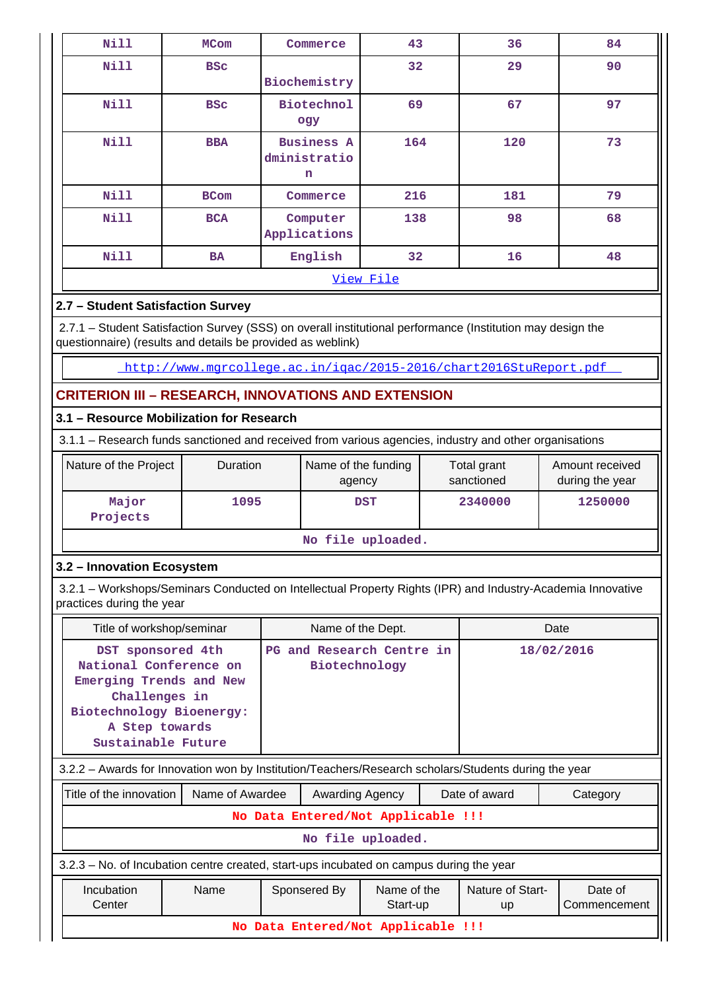| <b>Nill</b> | <b>MCom</b> | Commerce                               | 43  | 36  | 84 |  |  |  |  |
|-------------|-------------|----------------------------------------|-----|-----|----|--|--|--|--|
| Nill        | <b>BSC</b>  | Biochemistry                           | 32  | 29  | 90 |  |  |  |  |
| Nill        | <b>BSC</b>  | <b>Biotechnol</b><br>ogy               | 69  | 67  | 97 |  |  |  |  |
| Nill        | <b>BBA</b>  | <b>Business A</b><br>dministratio<br>n | 164 | 120 | 73 |  |  |  |  |
| Nill        | <b>BCom</b> | Commerce                               | 216 | 181 | 79 |  |  |  |  |
| Nill        | <b>BCA</b>  | Computer<br>Applications               | 138 | 98  | 68 |  |  |  |  |
| Nill        | <b>BA</b>   | English                                | 32  | 16  | 48 |  |  |  |  |
|             | View File   |                                        |     |     |    |  |  |  |  |

## **2.7 – Student Satisfaction Survey**

 2.7.1 – Student Satisfaction Survey (SSS) on overall institutional performance (Institution may design the questionnaire) (results and details be provided as weblink)

<http://www.mgrcollege.ac.in/iqac/2015-2016/chart2016StuReport.pdf>

## **CRITERION III – RESEARCH, INNOVATIONS AND EXTENSION**

## **3.1 – Resource Mobilization for Research**

3.1.1 – Research funds sanctioned and received from various agencies, industry and other organisations

| Nature of the Project | <b>Duration</b> | Name of the funding<br>agency | Total grant<br>sanctioned | Amount received<br>during the year |  |  |  |
|-----------------------|-----------------|-------------------------------|---------------------------|------------------------------------|--|--|--|
| Major<br>Projects     | 1095            | <b>DST</b>                    | 2340000                   | 1250000                            |  |  |  |
| $M_0$ file unlooded   |                 |                               |                           |                                    |  |  |  |

#### **No file uploaded.**

#### **3.2 – Innovation Ecosystem**

 3.2.1 – Workshops/Seminars Conducted on Intellectual Property Rights (IPR) and Industry-Academia Innovative practices during the year

| Title of workshop/seminar                                                                                                                                   |                   |                                    | Name of the Dept.       |  |                        | Date                    |  |  |  |
|-------------------------------------------------------------------------------------------------------------------------------------------------------------|-------------------|------------------------------------|-------------------------|--|------------------------|-------------------------|--|--|--|
| DST sponsored 4th<br>National Conference on<br>Emerging Trends and New<br>Challenges in<br>Biotechnology Bioenergy:<br>A Step towards<br>Sustainable Future |                   | PG and Research Centre in          | Biotechnology           |  |                        | 18/02/2016              |  |  |  |
| 3.2.2 - Awards for Innovation won by Institution/Teachers/Research scholars/Students during the year                                                        |                   |                                    |                         |  |                        |                         |  |  |  |
| Title of the innovation                                                                                                                                     | Name of Awardee   | Awarding Agency                    |                         |  | Date of award          | Category                |  |  |  |
|                                                                                                                                                             |                   | No Data Entered/Not Applicable !!! |                         |  |                        |                         |  |  |  |
|                                                                                                                                                             | No file uploaded. |                                    |                         |  |                        |                         |  |  |  |
| 3.2.3 – No. of Incubation centre created, start-ups incubated on campus during the year                                                                     |                   |                                    |                         |  |                        |                         |  |  |  |
| Incubation<br>Center                                                                                                                                        | Name              | Sponsered By                       | Name of the<br>Start-up |  | Nature of Start-<br>up | Date of<br>Commencement |  |  |  |

**No Data Entered/Not Applicable !!!**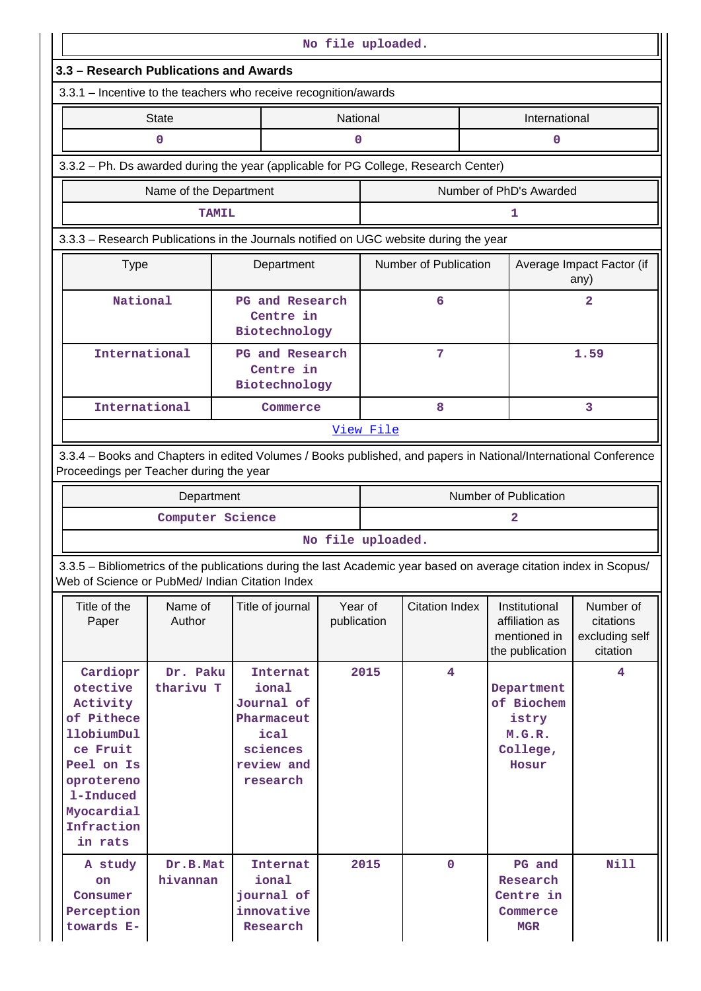|                                                                                                                                                                       | No file uploaded.                                                                                                                                          |              |                                                                                             |                        |           |                       |                                   |                                                                    |                                                      |  |
|-----------------------------------------------------------------------------------------------------------------------------------------------------------------------|------------------------------------------------------------------------------------------------------------------------------------------------------------|--------------|---------------------------------------------------------------------------------------------|------------------------|-----------|-----------------------|-----------------------------------|--------------------------------------------------------------------|------------------------------------------------------|--|
| 3.3 – Research Publications and Awards                                                                                                                                |                                                                                                                                                            |              |                                                                                             |                        |           |                       |                                   |                                                                    |                                                      |  |
| 3.3.1 - Incentive to the teachers who receive recognition/awards                                                                                                      |                                                                                                                                                            |              |                                                                                             |                        |           |                       |                                   |                                                                    |                                                      |  |
|                                                                                                                                                                       | <b>State</b>                                                                                                                                               |              |                                                                                             |                        | National  |                       |                                   | International                                                      |                                                      |  |
|                                                                                                                                                                       | 0                                                                                                                                                          |              |                                                                                             | 0<br>$\mathbf 0$       |           |                       |                                   |                                                                    |                                                      |  |
| 3.3.2 - Ph. Ds awarded during the year (applicable for PG College, Research Center)                                                                                   |                                                                                                                                                            |              |                                                                                             |                        |           |                       |                                   |                                                                    |                                                      |  |
|                                                                                                                                                                       | Name of the Department                                                                                                                                     |              |                                                                                             |                        |           |                       |                                   | Number of PhD's Awarded                                            |                                                      |  |
|                                                                                                                                                                       |                                                                                                                                                            | <b>TAMIL</b> |                                                                                             |                        |           |                       |                                   | 1                                                                  |                                                      |  |
| 3.3.3 - Research Publications in the Journals notified on UGC website during the year                                                                                 |                                                                                                                                                            |              |                                                                                             |                        |           |                       |                                   |                                                                    |                                                      |  |
| <b>Type</b>                                                                                                                                                           | Department                                                                                                                                                 |              |                                                                                             | Number of Publication  |           |                       | Average Impact Factor (if<br>any) |                                                                    |                                                      |  |
|                                                                                                                                                                       | National<br>Centre in<br>Biotechnology                                                                                                                     |              |                                                                                             | PG and Research        |           | 6                     |                                   |                                                                    | $\mathbf{2}$                                         |  |
|                                                                                                                                                                       | International<br>Centre in<br>Biotechnology                                                                                                                |              |                                                                                             | PG and Research        |           | $7\phantom{.0}$       |                                   |                                                                    | 1.59                                                 |  |
|                                                                                                                                                                       | International                                                                                                                                              |              |                                                                                             | Commerce               |           | 8                     |                                   | 3                                                                  |                                                      |  |
|                                                                                                                                                                       |                                                                                                                                                            |              |                                                                                             |                        | View File |                       |                                   |                                                                    |                                                      |  |
|                                                                                                                                                                       | 3.3.4 - Books and Chapters in edited Volumes / Books published, and papers in National/International Conference<br>Proceedings per Teacher during the year |              |                                                                                             |                        |           |                       |                                   |                                                                    |                                                      |  |
|                                                                                                                                                                       | Department                                                                                                                                                 |              |                                                                                             |                        |           |                       |                                   | Number of Publication                                              |                                                      |  |
|                                                                                                                                                                       | Computer Science                                                                                                                                           |              |                                                                                             |                        |           |                       |                                   | 2                                                                  |                                                      |  |
|                                                                                                                                                                       |                                                                                                                                                            |              |                                                                                             | No file uploaded.      |           |                       |                                   |                                                                    |                                                      |  |
| 3.3.5 - Bibliometrics of the publications during the last Academic year based on average citation index in Scopus/<br>Web of Science or PubMed/ Indian Citation Index |                                                                                                                                                            |              |                                                                                             |                        |           |                       |                                   |                                                                    |                                                      |  |
| Title of the<br>Paper                                                                                                                                                 | Name of<br>Author                                                                                                                                          |              | Title of journal                                                                            | Year of<br>publication |           | <b>Citation Index</b> |                                   | Institutional<br>affiliation as<br>mentioned in<br>the publication | Number of<br>citations<br>excluding self<br>citation |  |
| Cardiopr<br>otective<br>Activity<br>of Pithece<br>11obiumDul<br>ce Fruit<br>Peel on Is<br>oprotereno<br>1-Induced<br>Myocardial<br>Infraction<br>in rats              | Dr. Paku<br>tharivu T                                                                                                                                      |              | Internat<br>ional<br>Journal of<br>Pharmaceut<br>ical<br>sciences<br>review and<br>research |                        | 2015      | 4                     |                                   | Department<br>of Biochem<br>istry<br>M.G.R.<br>College,<br>Hosur   | 4                                                    |  |
| A study<br>on<br>Consumer<br>Perception<br>towards E-                                                                                                                 | Dr.B.Mat<br>hivannan                                                                                                                                       |              | Internat<br>ional<br>journal of<br>innovative<br>Research                                   |                        | 2015      | $\mathbf 0$           |                                   | PG and<br>Research<br>Centre in<br>Commerce<br><b>MGR</b>          | <b>Nill</b>                                          |  |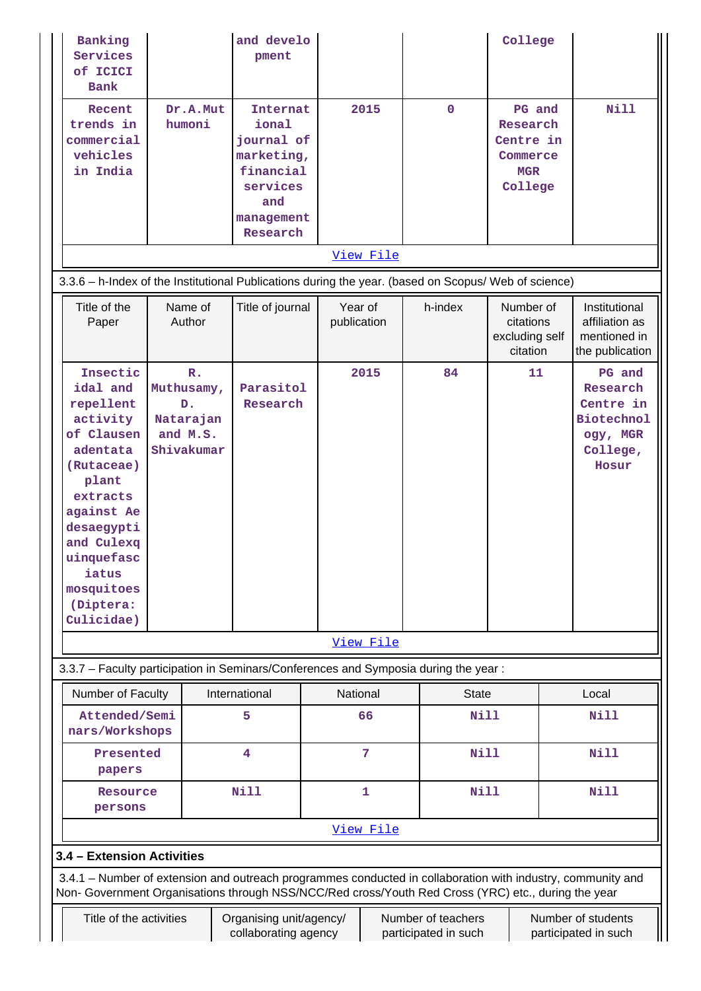| Banking<br>Services<br>of ICICI<br>Bank                                                                                                                                                                              |                                                                           | and develo<br>pment                                                                                            |                       |                        |                                            | College                                                              |                                                                                       |
|----------------------------------------------------------------------------------------------------------------------------------------------------------------------------------------------------------------------|---------------------------------------------------------------------------|----------------------------------------------------------------------------------------------------------------|-----------------------|------------------------|--------------------------------------------|----------------------------------------------------------------------|---------------------------------------------------------------------------------------|
| Recent<br>trends in<br>commercial<br>vehicles<br>in India                                                                                                                                                            | Dr.A.Mut<br>humoni                                                        | <b>Internat</b><br>ional<br>journal of<br>marketing,<br>financial<br>services<br>and<br>management<br>Research |                       | 2015                   | $\mathbf 0$                                | PG and<br>Research<br>Centre in<br>Commerce<br><b>MGR</b><br>College | <b>Nill</b>                                                                           |
|                                                                                                                                                                                                                      |                                                                           |                                                                                                                |                       | View File              |                                            |                                                                      |                                                                                       |
| 3.3.6 - h-Index of the Institutional Publications during the year. (based on Scopus/ Web of science)                                                                                                                 |                                                                           |                                                                                                                |                       |                        |                                            |                                                                      |                                                                                       |
| Title of the<br>Paper                                                                                                                                                                                                | Name of<br>Author                                                         | Title of journal                                                                                               |                       | Year of<br>publication | h-index                                    | Number of<br>citations<br>excluding self<br>citation                 | Institutional<br>affiliation as<br>mentioned in<br>the publication                    |
| Insectic<br>idal and<br>repellent<br>activity<br>of Clausen<br>adentata<br>(Rutaceae)<br>plant<br>extracts<br>against Ae<br>desaegypti<br>and Culexq<br>uinquefasc<br>iatus<br>mosquitoes<br>(Diptera:<br>Culicidae) | $\mathbb{R}$ .<br>Muthusamy,<br>D.<br>Natarajan<br>and M.S.<br>Shivakumar |                                                                                                                | Parasitol<br>Research | 2015                   | 84                                         | 11                                                                   | PG and<br>Research<br>Centre in<br><b>Biotechnol</b><br>ogy, MGR<br>College,<br>Hosur |
|                                                                                                                                                                                                                      |                                                                           |                                                                                                                |                       | View File              |                                            |                                                                      |                                                                                       |
| 3.3.7 - Faculty participation in Seminars/Conferences and Symposia during the year:                                                                                                                                  |                                                                           |                                                                                                                |                       |                        |                                            |                                                                      |                                                                                       |
| Number of Faculty                                                                                                                                                                                                    |                                                                           | International                                                                                                  |                       | National               | <b>State</b>                               |                                                                      | Local                                                                                 |
| Attended/Semi<br>nars/Workshops                                                                                                                                                                                      |                                                                           | 5                                                                                                              |                       | 66                     | <b>Nill</b>                                |                                                                      | <b>Nill</b>                                                                           |
| papers                                                                                                                                                                                                               | Presented                                                                 |                                                                                                                |                       | $\overline{7}$         | Nill                                       |                                                                      | <b>Nill</b>                                                                           |
| Resource<br>persons                                                                                                                                                                                                  |                                                                           | <b>Nill</b>                                                                                                    |                       | 1                      | <b>Nill</b>                                |                                                                      | <b>Nill</b>                                                                           |
|                                                                                                                                                                                                                      |                                                                           |                                                                                                                |                       | View File              |                                            |                                                                      |                                                                                       |
| 3.4 - Extension Activities                                                                                                                                                                                           |                                                                           |                                                                                                                |                       |                        |                                            |                                                                      |                                                                                       |
| 3.4.1 - Number of extension and outreach programmes conducted in collaboration with industry, community and<br>Non- Government Organisations through NSS/NCC/Red cross/Youth Red Cross (YRC) etc., during the year   |                                                                           |                                                                                                                |                       |                        |                                            |                                                                      |                                                                                       |
| Title of the activities                                                                                                                                                                                              |                                                                           | Organising unit/agency/<br>collaborating agency                                                                |                       |                        | Number of teachers<br>participated in such |                                                                      | Number of students<br>participated in such                                            |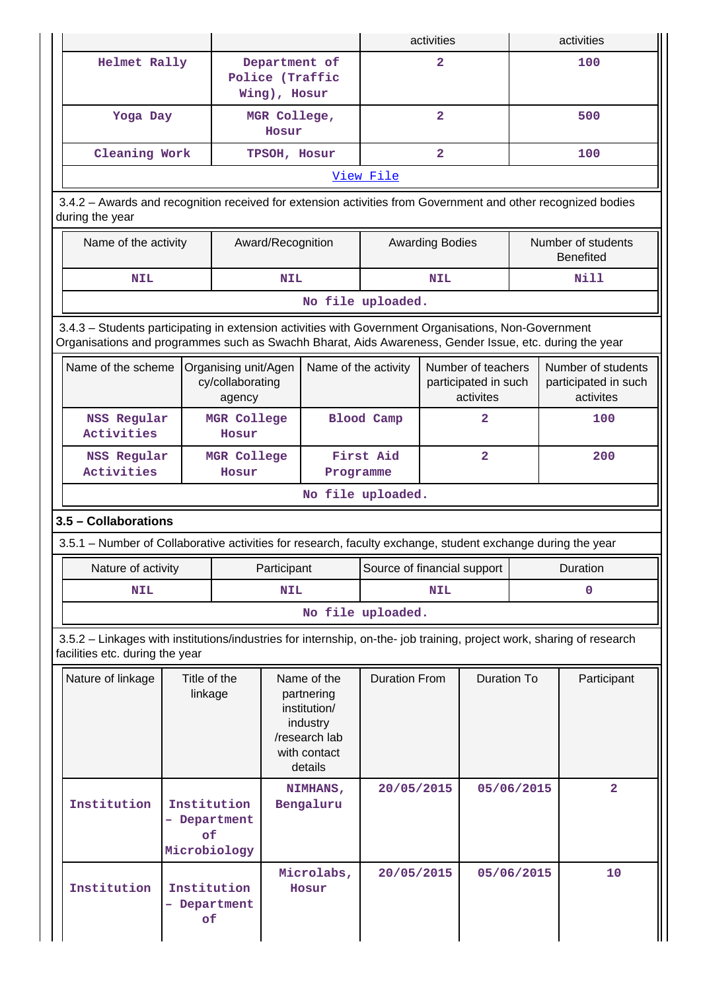|                                                                                                                                                                                                                |  |                                                    |                       |                                                                                                   |                             | activities                                              |                         |            | activities                                              |  |
|----------------------------------------------------------------------------------------------------------------------------------------------------------------------------------------------------------------|--|----------------------------------------------------|-----------------------|---------------------------------------------------------------------------------------------------|-----------------------------|---------------------------------------------------------|-------------------------|------------|---------------------------------------------------------|--|
| Helmet Rally                                                                                                                                                                                                   |  |                                                    | Wing), Hosur          | Department of<br>Police (Traffic                                                                  |                             | $\overline{a}$                                          |                         | 100        |                                                         |  |
| Yoga Day                                                                                                                                                                                                       |  |                                                    | MGR College,<br>Hosur |                                                                                                   |                             | $\overline{a}$                                          |                         | 500        |                                                         |  |
| Cleaning Work                                                                                                                                                                                                  |  |                                                    | TPSOH, Hosur          |                                                                                                   |                             | $\overline{2}$                                          |                         | 100        |                                                         |  |
|                                                                                                                                                                                                                |  |                                                    |                       |                                                                                                   | View File                   |                                                         |                         |            |                                                         |  |
| 3.4.2 - Awards and recognition received for extension activities from Government and other recognized bodies<br>during the year                                                                                |  |                                                    |                       |                                                                                                   |                             |                                                         |                         |            |                                                         |  |
| Name of the activity                                                                                                                                                                                           |  |                                                    | Award/Recognition     |                                                                                                   |                             | <b>Awarding Bodies</b>                                  |                         |            | Number of students<br><b>Benefited</b>                  |  |
| <b>NIL</b>                                                                                                                                                                                                     |  |                                                    | <b>NIL</b>            |                                                                                                   |                             | <b>NIL</b>                                              |                         |            | Nill                                                    |  |
|                                                                                                                                                                                                                |  |                                                    |                       | No file uploaded.                                                                                 |                             |                                                         |                         |            |                                                         |  |
| 3.4.3 - Students participating in extension activities with Government Organisations, Non-Government<br>Organisations and programmes such as Swachh Bharat, Aids Awareness, Gender Issue, etc. during the year |  |                                                    |                       |                                                                                                   |                             |                                                         |                         |            |                                                         |  |
| Name of the scheme                                                                                                                                                                                             |  | Organising unit/Agen<br>cy/collaborating<br>agency |                       | Name of the activity                                                                              |                             | Number of teachers<br>participated in such<br>activites |                         |            | Number of students<br>participated in such<br>activites |  |
| <b>NSS Regular</b><br>Activities                                                                                                                                                                               |  | MGR College<br>Hosur                               |                       |                                                                                                   | <b>Blood Camp</b>           | 2                                                       |                         |            | 100                                                     |  |
| NSS Regular<br>Activities                                                                                                                                                                                      |  | MGR College<br>Hosur                               | Programme             |                                                                                                   | First Aid                   |                                                         | $\overline{\mathbf{2}}$ |            | 200                                                     |  |
|                                                                                                                                                                                                                |  |                                                    |                       | No file uploaded.                                                                                 |                             |                                                         |                         |            |                                                         |  |
| 3.5 - Collaborations                                                                                                                                                                                           |  |                                                    |                       |                                                                                                   |                             |                                                         |                         |            |                                                         |  |
| 3.5.1 – Number of Collaborative activities for research, faculty exchange, student exchange during the year                                                                                                    |  |                                                    |                       |                                                                                                   |                             |                                                         |                         |            |                                                         |  |
| Nature of activity                                                                                                                                                                                             |  | Participant                                        |                       |                                                                                                   | Source of financial support |                                                         |                         |            | Duration                                                |  |
| <b>NIL</b>                                                                                                                                                                                                     |  |                                                    | <b>NIL</b>            |                                                                                                   | <b>NIL</b>                  |                                                         | 0                       |            |                                                         |  |
|                                                                                                                                                                                                                |  |                                                    |                       | No file uploaded.                                                                                 |                             |                                                         |                         |            |                                                         |  |
| 3.5.2 - Linkages with institutions/industries for internship, on-the- job training, project work, sharing of research<br>facilities etc. during the year                                                       |  |                                                    |                       |                                                                                                   |                             |                                                         |                         |            |                                                         |  |
| Nature of linkage<br>Title of the<br>linkage                                                                                                                                                                   |  |                                                    |                       | Name of the<br>partnering<br>institution/<br>industry<br>/research lab<br>with contact<br>details | <b>Duration From</b>        | <b>Duration To</b>                                      |                         |            | Participant                                             |  |
| Institution<br>of<br>Microbiology                                                                                                                                                                              |  | Institution<br>- Department                        |                       | NIMHANS,<br>Bengaluru                                                                             | 20/05/2015                  |                                                         |                         | 05/06/2015 | $\overline{\mathbf{2}}$                                 |  |
| Institution<br>Institution<br>Department<br>of                                                                                                                                                                 |  |                                                    |                       | Microlabs,<br>Hosur                                                                               | 20/05/2015                  |                                                         |                         | 05/06/2015 | 10                                                      |  |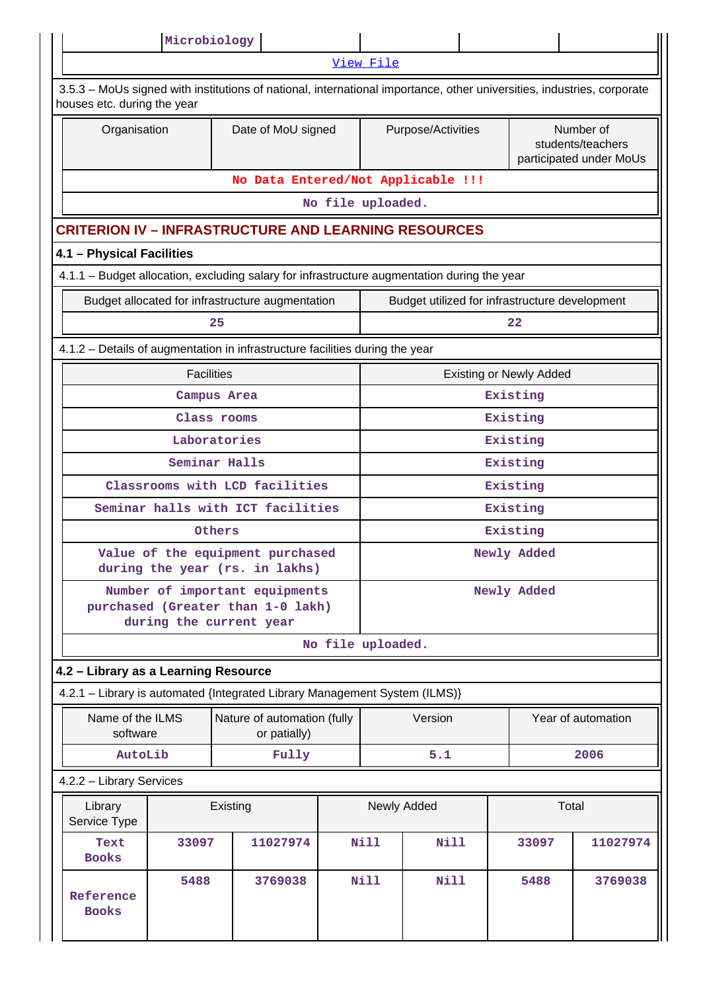|                                                                                                                                                       | Microbiology                                                                                   |               |                                             |  |                    |                                    |          |                                                |                                                           |  |
|-------------------------------------------------------------------------------------------------------------------------------------------------------|------------------------------------------------------------------------------------------------|---------------|---------------------------------------------|--|--------------------|------------------------------------|----------|------------------------------------------------|-----------------------------------------------------------|--|
|                                                                                                                                                       |                                                                                                |               |                                             |  | View File          |                                    |          |                                                |                                                           |  |
| 3.5.3 – MoUs signed with institutions of national, international importance, other universities, industries, corporate<br>houses etc. during the year |                                                                                                |               |                                             |  |                    |                                    |          |                                                |                                                           |  |
| Organisation                                                                                                                                          |                                                                                                |               | Date of MoU signed                          |  | Purpose/Activities |                                    |          |                                                | Number of<br>students/teachers<br>participated under MoUs |  |
|                                                                                                                                                       |                                                                                                |               |                                             |  |                    | No Data Entered/Not Applicable !!! |          |                                                |                                                           |  |
|                                                                                                                                                       |                                                                                                |               |                                             |  | No file uploaded.  |                                    |          |                                                |                                                           |  |
| <b>CRITERION IV - INFRASTRUCTURE AND LEARNING RESOURCES</b>                                                                                           |                                                                                                |               |                                             |  |                    |                                    |          |                                                |                                                           |  |
| 4.1 - Physical Facilities                                                                                                                             |                                                                                                |               |                                             |  |                    |                                    |          |                                                |                                                           |  |
| 4.1.1 - Budget allocation, excluding salary for infrastructure augmentation during the year                                                           |                                                                                                |               |                                             |  |                    |                                    |          |                                                |                                                           |  |
|                                                                                                                                                       | Budget allocated for infrastructure augmentation                                               |               |                                             |  |                    |                                    |          | Budget utilized for infrastructure development |                                                           |  |
| 25                                                                                                                                                    |                                                                                                |               |                                             |  |                    |                                    |          | 22                                             |                                                           |  |
| 4.1.2 - Details of augmentation in infrastructure facilities during the year                                                                          |                                                                                                |               |                                             |  |                    |                                    |          |                                                |                                                           |  |
|                                                                                                                                                       | <b>Facilities</b>                                                                              |               |                                             |  |                    |                                    |          | <b>Existing or Newly Added</b>                 |                                                           |  |
|                                                                                                                                                       |                                                                                                | Campus Area   |                                             |  |                    |                                    |          | Existing                                       |                                                           |  |
|                                                                                                                                                       | Class rooms                                                                                    |               |                                             |  |                    |                                    | Existing |                                                |                                                           |  |
|                                                                                                                                                       | Laboratories                                                                                   |               |                                             |  |                    |                                    |          | Existing                                       |                                                           |  |
|                                                                                                                                                       |                                                                                                | Seminar Halls |                                             |  |                    |                                    |          | Existing                                       |                                                           |  |
|                                                                                                                                                       | Classrooms with LCD facilities                                                                 |               |                                             |  |                    |                                    |          | Existing                                       |                                                           |  |
|                                                                                                                                                       | Seminar halls with ICT facilities                                                              |               |                                             |  | Existing           |                                    |          |                                                |                                                           |  |
|                                                                                                                                                       |                                                                                                | Others        |                                             |  | Existing           |                                    |          |                                                |                                                           |  |
|                                                                                                                                                       | Value of the equipment purchased<br>during the year (rs. in lakhs)                             |               |                                             |  | Newly Added        |                                    |          |                                                |                                                           |  |
|                                                                                                                                                       | Number of important equipments<br>purchased (Greater than 1-0 lakh)<br>during the current year |               |                                             |  | Newly Added        |                                    |          |                                                |                                                           |  |
|                                                                                                                                                       |                                                                                                |               |                                             |  | No file uploaded.  |                                    |          |                                                |                                                           |  |
| 4.2 - Library as a Learning Resource                                                                                                                  |                                                                                                |               |                                             |  |                    |                                    |          |                                                |                                                           |  |
| 4.2.1 - Library is automated {Integrated Library Management System (ILMS)}                                                                            |                                                                                                |               |                                             |  |                    |                                    |          |                                                |                                                           |  |
| Name of the ILMS<br>software                                                                                                                          |                                                                                                |               | Nature of automation (fully<br>or patially) |  |                    | Version                            |          |                                                | Year of automation                                        |  |
| AutoLib                                                                                                                                               |                                                                                                |               | Fully                                       |  |                    | 5.1                                |          |                                                | 2006                                                      |  |
| 4.2.2 - Library Services                                                                                                                              |                                                                                                |               |                                             |  |                    |                                    |          |                                                |                                                           |  |
| Library<br>Service Type                                                                                                                               |                                                                                                | Existing      |                                             |  |                    | Newly Added                        |          | Total                                          |                                                           |  |
| Text<br><b>Books</b>                                                                                                                                  | 33097                                                                                          |               | 11027974                                    |  | <b>Nill</b>        | <b>Nill</b>                        |          | 33097                                          | 11027974                                                  |  |
| Reference<br><b>Books</b>                                                                                                                             | 5488                                                                                           |               | 3769038                                     |  | Nill               | <b>Nill</b>                        |          | 5488                                           | 3769038                                                   |  |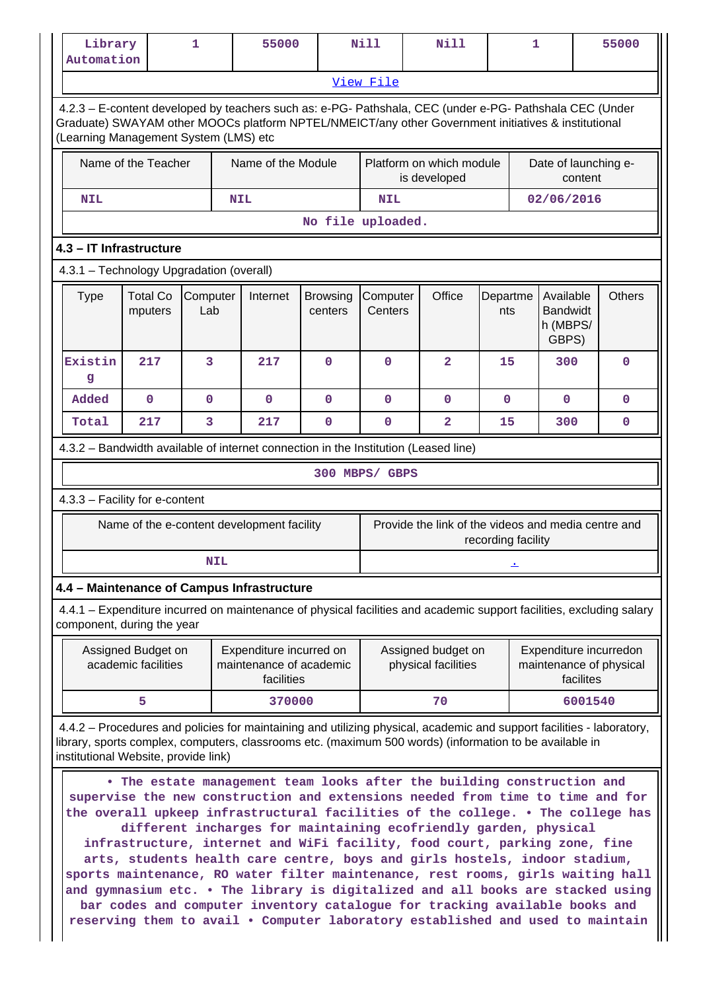| Library<br>Automation                    |                                           | 1               |            | 55000                                                            |                            | <b>Nill</b>                              | <b>Nill</b>                                                                                                                                                                                                                                                                                                                                                                                                                                                                                                                                                                                                                                                                                                                                                                                                        |                    | 1       |                                                   |           | 55000                                             |
|------------------------------------------|-------------------------------------------|-----------------|------------|------------------------------------------------------------------|----------------------------|------------------------------------------|--------------------------------------------------------------------------------------------------------------------------------------------------------------------------------------------------------------------------------------------------------------------------------------------------------------------------------------------------------------------------------------------------------------------------------------------------------------------------------------------------------------------------------------------------------------------------------------------------------------------------------------------------------------------------------------------------------------------------------------------------------------------------------------------------------------------|--------------------|---------|---------------------------------------------------|-----------|---------------------------------------------------|
|                                          |                                           |                 |            |                                                                  |                            | View File                                |                                                                                                                                                                                                                                                                                                                                                                                                                                                                                                                                                                                                                                                                                                                                                                                                                    |                    |         |                                                   |           |                                                   |
| (Learning Management System (LMS) etc    |                                           |                 |            |                                                                  |                            |                                          | 4.2.3 - E-content developed by teachers such as: e-PG- Pathshala, CEC (under e-PG- Pathshala CEC (Under<br>Graduate) SWAYAM other MOOCs platform NPTEL/NMEICT/any other Government initiatives & institutional                                                                                                                                                                                                                                                                                                                                                                                                                                                                                                                                                                                                     |                    |         |                                                   |           |                                                   |
|                                          | Name of the Teacher                       |                 |            | Name of the Module                                               |                            | Platform on which module<br>is developed |                                                                                                                                                                                                                                                                                                                                                                                                                                                                                                                                                                                                                                                                                                                                                                                                                    |                    |         | Date of launching e-<br>content                   |           |                                                   |
| <b>NIL</b>                               |                                           |                 |            | <b>NIL</b>                                                       |                            | <b>NIL</b>                               |                                                                                                                                                                                                                                                                                                                                                                                                                                                                                                                                                                                                                                                                                                                                                                                                                    |                    |         | 02/06/2016                                        |           |                                                   |
|                                          |                                           |                 |            |                                                                  | No file uploaded.          |                                          |                                                                                                                                                                                                                                                                                                                                                                                                                                                                                                                                                                                                                                                                                                                                                                                                                    |                    |         |                                                   |           |                                                   |
| 4.3 - IT Infrastructure                  |                                           |                 |            |                                                                  |                            |                                          |                                                                                                                                                                                                                                                                                                                                                                                                                                                                                                                                                                                                                                                                                                                                                                                                                    |                    |         |                                                   |           |                                                   |
| 4.3.1 - Technology Upgradation (overall) |                                           |                 |            |                                                                  |                            |                                          |                                                                                                                                                                                                                                                                                                                                                                                                                                                                                                                                                                                                                                                                                                                                                                                                                    |                    |         |                                                   |           | <b>Others</b>                                     |
| <b>Type</b>                              | <b>Total Co</b><br>mputers                | Computer<br>Lab |            | Internet                                                         | <b>Browsing</b><br>centers | Computer<br>Centers                      | Office                                                                                                                                                                                                                                                                                                                                                                                                                                                                                                                                                                                                                                                                                                                                                                                                             | Departme<br>nts    |         | Available<br><b>Bandwidt</b><br>h (MBPS/<br>GBPS) |           |                                                   |
| Existin<br>g                             | 217                                       | 3               |            | 217                                                              | $\mathbf 0$                | $\mathbf 0$                              | $\overline{a}$                                                                                                                                                                                                                                                                                                                                                                                                                                                                                                                                                                                                                                                                                                                                                                                                     | 15                 |         | 300                                               |           | 0                                                 |
| Added                                    | $\mathbf 0$                               | $\mathbf 0$     |            | $\mathbf 0$                                                      | $\mathbf 0$                | $\mathbf 0$                              | $\mathbf 0$                                                                                                                                                                                                                                                                                                                                                                                                                                                                                                                                                                                                                                                                                                                                                                                                        | $\mathbf{O}$       |         | $\mathbf 0$                                       |           | 0                                                 |
| Total                                    | 217                                       | 3               |            | 217                                                              | $\mathbf 0$                | $\mathbf{0}$                             | $\overline{\mathbf{2}}$                                                                                                                                                                                                                                                                                                                                                                                                                                                                                                                                                                                                                                                                                                                                                                                            | 15                 |         | 300                                               |           | $\mathbf{0}$                                      |
|                                          |                                           |                 |            |                                                                  |                            |                                          | 4.3.2 - Bandwidth available of internet connection in the Institution (Leased line)                                                                                                                                                                                                                                                                                                                                                                                                                                                                                                                                                                                                                                                                                                                                |                    |         |                                                   |           |                                                   |
|                                          |                                           |                 |            |                                                                  |                            | 300 MBPS/ GBPS                           |                                                                                                                                                                                                                                                                                                                                                                                                                                                                                                                                                                                                                                                                                                                                                                                                                    |                    |         |                                                   |           |                                                   |
| 4.3.3 - Facility for e-content           |                                           |                 |            |                                                                  |                            |                                          |                                                                                                                                                                                                                                                                                                                                                                                                                                                                                                                                                                                                                                                                                                                                                                                                                    |                    |         |                                                   |           |                                                   |
|                                          |                                           |                 |            | Name of the e-content development facility                       |                            |                                          | Provide the link of the videos and media centre and                                                                                                                                                                                                                                                                                                                                                                                                                                                                                                                                                                                                                                                                                                                                                                | recording facility |         |                                                   |           |                                                   |
|                                          |                                           |                 | <b>NIL</b> |                                                                  |                            |                                          |                                                                                                                                                                                                                                                                                                                                                                                                                                                                                                                                                                                                                                                                                                                                                                                                                    |                    |         |                                                   |           |                                                   |
|                                          |                                           |                 |            | 4.4 - Maintenance of Campus Infrastructure                       |                            |                                          |                                                                                                                                                                                                                                                                                                                                                                                                                                                                                                                                                                                                                                                                                                                                                                                                                    |                    |         |                                                   |           |                                                   |
| component, during the year               |                                           |                 |            |                                                                  |                            |                                          | 4.4.1 – Expenditure incurred on maintenance of physical facilities and academic support facilities, excluding salary                                                                                                                                                                                                                                                                                                                                                                                                                                                                                                                                                                                                                                                                                               |                    |         |                                                   |           |                                                   |
|                                          | Assigned Budget on<br>academic facilities |                 |            | Expenditure incurred on<br>maintenance of academic<br>facilities |                            |                                          | Assigned budget on<br>physical facilities                                                                                                                                                                                                                                                                                                                                                                                                                                                                                                                                                                                                                                                                                                                                                                          |                    |         |                                                   | facilites | Expenditure incurredon<br>maintenance of physical |
|                                          | 5                                         |                 |            | 370000                                                           |                            |                                          | 70                                                                                                                                                                                                                                                                                                                                                                                                                                                                                                                                                                                                                                                                                                                                                                                                                 |                    | 6001540 |                                                   |           |                                                   |
| institutional Website, provide link)     |                                           |                 |            |                                                                  |                            |                                          | 4.4.2 – Procedures and policies for maintaining and utilizing physical, academic and support facilities - laboratory,<br>library, sports complex, computers, classrooms etc. (maximum 500 words) (information to be available in                                                                                                                                                                                                                                                                                                                                                                                                                                                                                                                                                                                   |                    |         |                                                   |           |                                                   |
|                                          |                                           |                 |            |                                                                  |                            |                                          | . The estate management team looks after the building construction and<br>supervise the new construction and extensions needed from time to time and for<br>the overall upkeep infrastructural facilities of the college. . The college has<br>different incharges for maintaining ecofriendly garden, physical<br>infrastructure, internet and WiFi facility, food court, parking zone, fine<br>arts, students health care centre, boys and girls hostels, indoor stadium,<br>sports maintenance, RO water filter maintenance, rest rooms, girls waiting hall<br>and gymnasium etc. . The library is digitalized and all books are stacked using<br>bar codes and computer inventory catalogue for tracking available books and<br>reserving them to avail . Computer laboratory established and used to maintain |                    |         |                                                   |           |                                                   |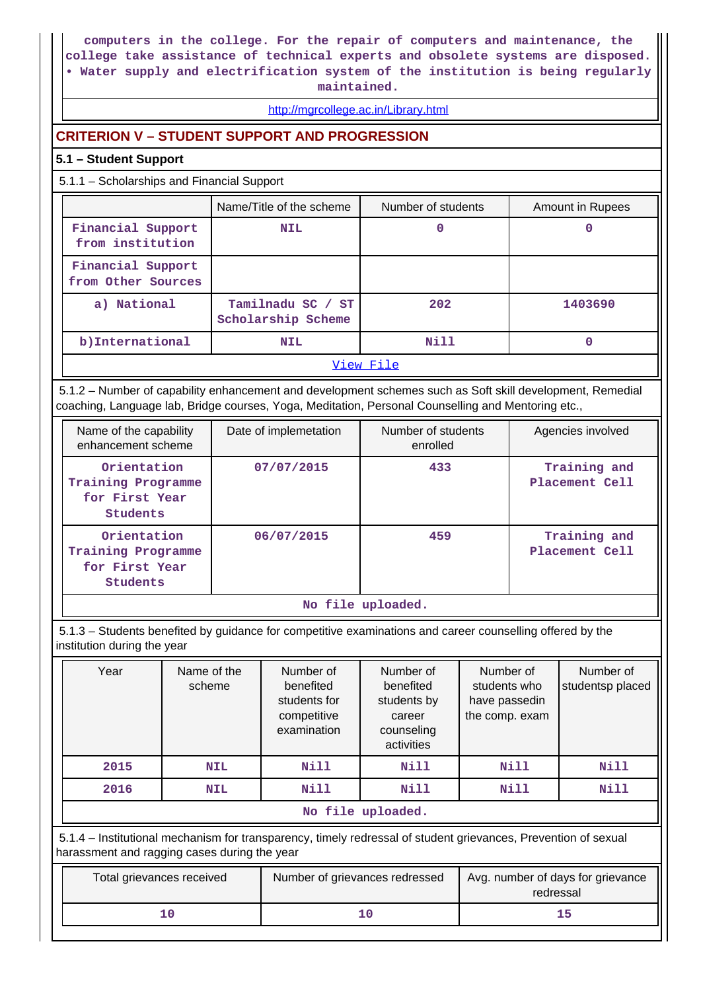**computers in the college. For the repair of computers and maintenance, the college take assistance of technical experts and obsolete systems are disposed. • Water supply and electrification system of the institution is being regularly maintained.**

#### <http://mgrcollege.ac.in/Library.html>

## **CRITERION V – STUDENT SUPPORT AND PROGRESSION**

#### **5.1 – Student Support**

5.1.1 – Scholarships and Financial Support

|                                         | Name/Title of the scheme                | Number of students | Amount in Rupees |  |  |  |  |  |
|-----------------------------------------|-----------------------------------------|--------------------|------------------|--|--|--|--|--|
| Financial Support<br>from institution   | <b>NIL</b>                              | 0                  |                  |  |  |  |  |  |
| Financial Support<br>from Other Sources |                                         |                    |                  |  |  |  |  |  |
| a) National                             | Tamilnadu SC / ST<br>Scholarship Scheme | 202                | 1403690          |  |  |  |  |  |
| b) International                        | <b>NIL</b>                              | Nill               |                  |  |  |  |  |  |
|                                         | View File                               |                    |                  |  |  |  |  |  |

 5.1.2 – Number of capability enhancement and development schemes such as Soft skill development, Remedial coaching, Language lab, Bridge courses, Yoga, Meditation, Personal Counselling and Mentoring etc.,

| Name of the capability<br>enhancement scheme                    | Date of implemetation | Number of students<br>enrolled | Agencies involved              |
|-----------------------------------------------------------------|-----------------------|--------------------------------|--------------------------------|
| Orientation<br>Training Programme<br>for First Year<br>Students | 07/07/2015            | 433                            | Training and<br>Placement Cell |
| Orientation<br>Training Programme<br>for First Year<br>Students | 06/07/2015            | 459                            | Training and<br>Placement Cell |

**No file uploaded.**

 5.1.3 – Students benefited by guidance for competitive examinations and career counselling offered by the institution during the year

| Year | Name of the<br>scheme | Number of<br>benefited<br>students for<br>competitive<br>examination | Number of<br>benefited<br>students by<br>career<br>counseling<br>activities | Number of<br>students who<br>have passedin<br>the comp. exam | Number of<br>studentsp placed |  |  |  |  |
|------|-----------------------|----------------------------------------------------------------------|-----------------------------------------------------------------------------|--------------------------------------------------------------|-------------------------------|--|--|--|--|
| 2015 | <b>NIL</b>            | <b>Nill</b>                                                          | Nill                                                                        | Nill                                                         | Nill                          |  |  |  |  |
| 2016 | <b>NIL</b>            | <b>Nill</b>                                                          | Nill                                                                        | Nill                                                         | Nill                          |  |  |  |  |
|      | No file uploaded.     |                                                                      |                                                                             |                                                              |                               |  |  |  |  |

 5.1.4 – Institutional mechanism for transparency, timely redressal of student grievances, Prevention of sexual harassment and ragging cases during the year

| Total grievances received | Number of grievances redressed | Avg. number of days for grievance<br>redressal |
|---------------------------|--------------------------------|------------------------------------------------|
|                           | 10                             |                                                |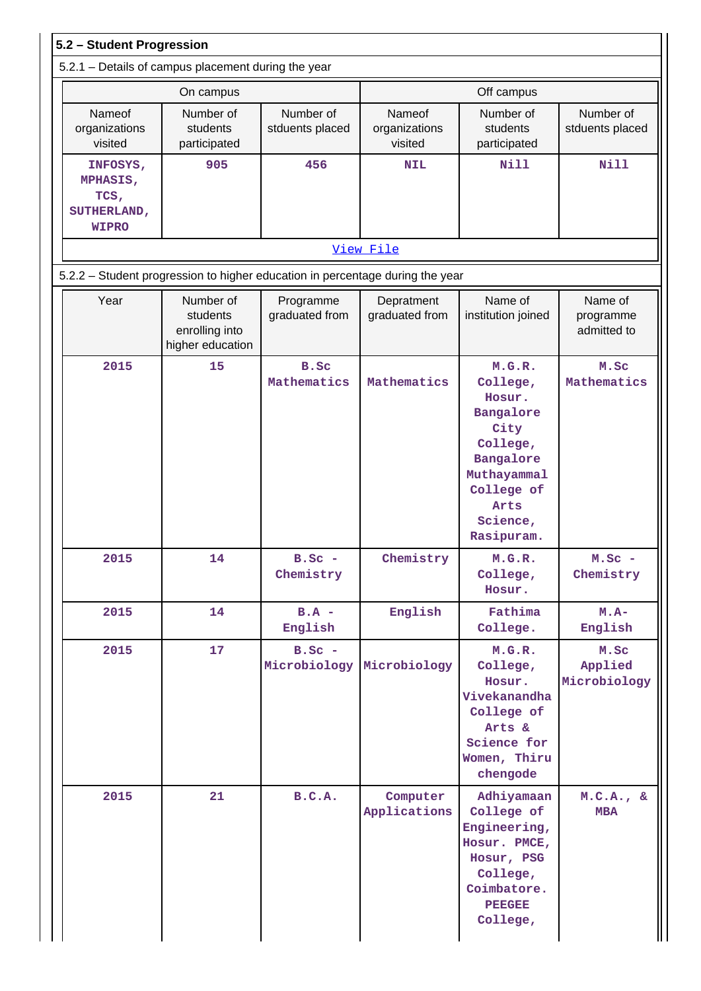| 5.2 - Student Progression                                          |                                                                               |                             |                                    |                                                                                                                                           |                                     |  |  |  |
|--------------------------------------------------------------------|-------------------------------------------------------------------------------|-----------------------------|------------------------------------|-------------------------------------------------------------------------------------------------------------------------------------------|-------------------------------------|--|--|--|
|                                                                    | 5.2.1 - Details of campus placement during the year                           |                             |                                    |                                                                                                                                           |                                     |  |  |  |
|                                                                    | On campus                                                                     |                             |                                    | Off campus                                                                                                                                |                                     |  |  |  |
| Nameof<br>organizations<br>visited                                 | Number of<br>Number of<br>students<br>stduents placed<br>participated         |                             | Nameof<br>organizations<br>visited | Number of<br>students<br>participated                                                                                                     | Number of<br>stduents placed        |  |  |  |
| 905<br>INFOSYS,<br>MPHASIS,<br>TCS,<br>SUTHERLAND,<br><b>WIPRO</b> |                                                                               | 456                         | <b>NIL</b>                         | <b>Nill</b>                                                                                                                               | Nill                                |  |  |  |
|                                                                    |                                                                               |                             | View File                          |                                                                                                                                           |                                     |  |  |  |
|                                                                    | 5.2.2 - Student progression to higher education in percentage during the year |                             |                                    |                                                                                                                                           |                                     |  |  |  |
| Year                                                               | Number of<br>students<br>enrolling into<br>higher education                   | Programme<br>graduated from | Depratment<br>graduated from       | Name of<br>institution joined                                                                                                             | Name of<br>programme<br>admitted to |  |  |  |
| 2015                                                               | 15                                                                            | B.Sc<br>Mathematics         | Mathematics                        | M.G.R.<br>College,<br>Hosur.<br>Bangalore<br>City<br>College,<br>Bangalore<br>Muthayammal<br>College of<br>Arts<br>Science,<br>Rasipuram. | M.Sc<br>Mathematics                 |  |  |  |
| 2015                                                               | 14                                                                            | $B.SC -$<br>Chemistry       | Chemistry                          | M.G.R.<br>College,<br>Hosur.                                                                                                              | $M.SC -$<br>Chemistry               |  |  |  |
| 2015                                                               | 14                                                                            | $B.A -$<br>English          | English                            | Fathima<br>College.                                                                                                                       | $M.A-$<br>English                   |  |  |  |
| 2015                                                               | 17                                                                            | $B.SC -$<br>Microbiology    | Microbiology                       | M.G.R.<br>College,<br>Hosur.<br>Vivekanandha<br>College of<br>Arts &<br>Science for<br>Women, Thiru<br>chengode                           | M.Sc<br>Applied<br>Microbiology     |  |  |  |
| 2015                                                               | 21                                                                            | B.C.A.                      | Computer<br>Applications           | Adhiyamaan<br>College of<br>Engineering,<br>Hosur. PMCE,<br>Hosur, PSG<br>College,<br>Coimbatore.<br><b>PEEGEE</b><br>College,            | M.C.A., &c<br><b>MBA</b>            |  |  |  |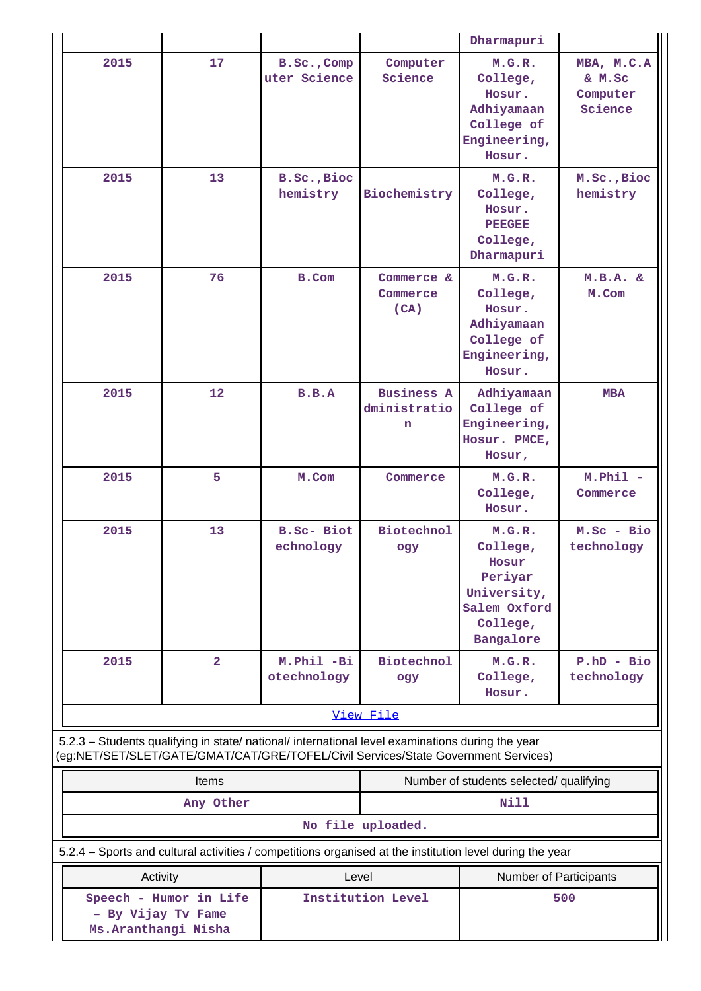|                                                                                                          |                        |                                                    | Dharmapuri                                                                                                   |                                                                                                |                                             |  |
|----------------------------------------------------------------------------------------------------------|------------------------|----------------------------------------------------|--------------------------------------------------------------------------------------------------------------|------------------------------------------------------------------------------------------------|---------------------------------------------|--|
| 2015                                                                                                     | 17                     | B.Sc., Comp<br>Computer<br>uter Science<br>Science |                                                                                                              | M.G.R.<br>College,<br>Hosur.<br>Adhiyamaan<br>College of<br>Engineering,<br>Hosur.             | MBA, M.C.A<br>& M.Sc<br>Computer<br>Science |  |
| 2015                                                                                                     | 13                     | B.Sc., Bioc<br>hemistry                            | M.G.R.<br>Biochemistry<br>College,<br>Hosur.<br><b>PEEGEE</b><br>College,<br>Dharmapuri                      |                                                                                                | M.Sc., Bioc<br>hemistry                     |  |
| 2015                                                                                                     | 76<br><b>B.Com</b>     |                                                    | Commerce &<br>Commerce<br>(CA)                                                                               | M.G.R.<br>College,<br>Hosur.<br>Adhiyamaan<br>College of<br>Engineering,<br>Hosur.             | M.B.A. & E<br>M.Com                         |  |
| 2015                                                                                                     | 12                     | B.B.A                                              | <b>Business A</b><br>Adhiyamaan<br>dministratio<br>College of<br>Engineering,<br>n<br>Hosur. PMCE,<br>Hosur, |                                                                                                | <b>MBA</b>                                  |  |
| 2015                                                                                                     | 5                      | M.Com                                              | Commerce                                                                                                     | M.G.R.<br>College,<br>Hosur.                                                                   | $M.$ Phil $-$<br>Commerce                   |  |
| 2015                                                                                                     | 13                     | <b>B.Sc- Biot</b><br>echnology                     | <b>Biotechnol</b><br>ogy                                                                                     | M.G.R.<br>College,<br>Hosur<br>Periyar<br>University,<br>Salem Oxford<br>College,<br>Bangalore | M.Sc - Bio<br>technology                    |  |
| 2015                                                                                                     | $\overline{2}$         | M.Phil -Bi<br>otechnology                          | <b>Biotechnol</b><br>ogy                                                                                     | M.G.R.<br>College,<br>Hosur.                                                                   | $P.hD - Bio$<br>technology                  |  |
| 5.2.3 - Students qualifying in state/ national/ international level examinations during the year         |                        |                                                    | View File                                                                                                    |                                                                                                |                                             |  |
| (eg:NET/SET/SLET/GATE/GMAT/CAT/GRE/TOFEL/Civil Services/State Government Services)                       |                        |                                                    |                                                                                                              |                                                                                                |                                             |  |
|                                                                                                          | Items<br>Any Other     |                                                    |                                                                                                              | Number of students selected/ qualifying<br><b>Nill</b>                                         |                                             |  |
|                                                                                                          |                        |                                                    | No file uploaded.                                                                                            |                                                                                                |                                             |  |
| 5.2.4 - Sports and cultural activities / competitions organised at the institution level during the year |                        |                                                    |                                                                                                              |                                                                                                |                                             |  |
| Activity                                                                                                 |                        | Level                                              |                                                                                                              | Number of Participants                                                                         |                                             |  |
| - By Vijay Tv Fame<br>Ms. Aranthangi Nisha                                                               | Speech - Humor in Life |                                                    | Institution Level<br>500                                                                                     |                                                                                                |                                             |  |

 $\mathbf{1}$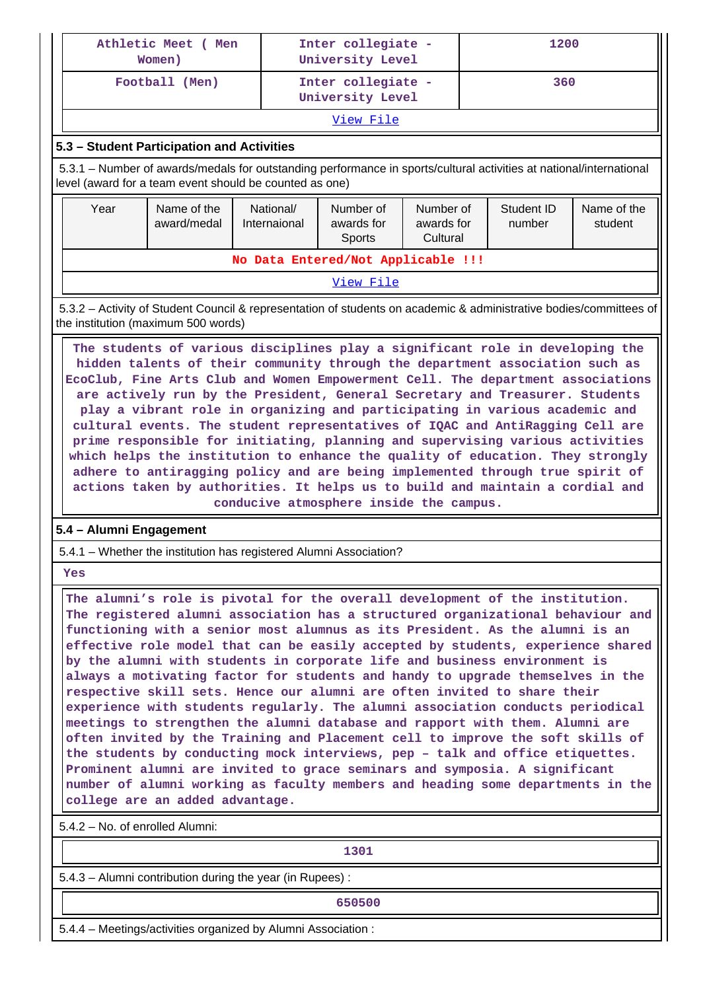| Athletic Meet ( Men                                                                                                                                                                                                                                                                                                                                                                                                                                                                                                                                                                                                                                                                                                                                                                                                                   | Women)                                                                                                                                                                                                                                                                                                                                                                                                                                                                                                                                                                                                                                                                                                                                                                                                                                                                                                                                                                                                                                                                                                                 |                           | Inter collegiate -<br>University Level |                                     | 1200 |                      |                        |  |  |
|---------------------------------------------------------------------------------------------------------------------------------------------------------------------------------------------------------------------------------------------------------------------------------------------------------------------------------------------------------------------------------------------------------------------------------------------------------------------------------------------------------------------------------------------------------------------------------------------------------------------------------------------------------------------------------------------------------------------------------------------------------------------------------------------------------------------------------------|------------------------------------------------------------------------------------------------------------------------------------------------------------------------------------------------------------------------------------------------------------------------------------------------------------------------------------------------------------------------------------------------------------------------------------------------------------------------------------------------------------------------------------------------------------------------------------------------------------------------------------------------------------------------------------------------------------------------------------------------------------------------------------------------------------------------------------------------------------------------------------------------------------------------------------------------------------------------------------------------------------------------------------------------------------------------------------------------------------------------|---------------------------|----------------------------------------|-------------------------------------|------|----------------------|------------------------|--|--|
|                                                                                                                                                                                                                                                                                                                                                                                                                                                                                                                                                                                                                                                                                                                                                                                                                                       | Football (Men)                                                                                                                                                                                                                                                                                                                                                                                                                                                                                                                                                                                                                                                                                                                                                                                                                                                                                                                                                                                                                                                                                                         |                           | Inter collegiate -<br>University Level |                                     |      |                      | 360                    |  |  |
|                                                                                                                                                                                                                                                                                                                                                                                                                                                                                                                                                                                                                                                                                                                                                                                                                                       |                                                                                                                                                                                                                                                                                                                                                                                                                                                                                                                                                                                                                                                                                                                                                                                                                                                                                                                                                                                                                                                                                                                        |                           | View File                              |                                     |      |                      |                        |  |  |
|                                                                                                                                                                                                                                                                                                                                                                                                                                                                                                                                                                                                                                                                                                                                                                                                                                       | 5.3 - Student Participation and Activities                                                                                                                                                                                                                                                                                                                                                                                                                                                                                                                                                                                                                                                                                                                                                                                                                                                                                                                                                                                                                                                                             |                           |                                        |                                     |      |                      |                        |  |  |
| 5.3.1 – Number of awards/medals for outstanding performance in sports/cultural activities at national/international<br>level (award for a team event should be counted as one)                                                                                                                                                                                                                                                                                                                                                                                                                                                                                                                                                                                                                                                        |                                                                                                                                                                                                                                                                                                                                                                                                                                                                                                                                                                                                                                                                                                                                                                                                                                                                                                                                                                                                                                                                                                                        |                           |                                        |                                     |      |                      |                        |  |  |
| Year                                                                                                                                                                                                                                                                                                                                                                                                                                                                                                                                                                                                                                                                                                                                                                                                                                  | Name of the<br>award/medal                                                                                                                                                                                                                                                                                                                                                                                                                                                                                                                                                                                                                                                                                                                                                                                                                                                                                                                                                                                                                                                                                             | National/<br>Internaional | Number of<br>awards for<br>Sports      | Number of<br>awards for<br>Cultural |      | Student ID<br>number | Name of the<br>student |  |  |
|                                                                                                                                                                                                                                                                                                                                                                                                                                                                                                                                                                                                                                                                                                                                                                                                                                       |                                                                                                                                                                                                                                                                                                                                                                                                                                                                                                                                                                                                                                                                                                                                                                                                                                                                                                                                                                                                                                                                                                                        |                           | No Data Entered/Not Applicable !!!     |                                     |      |                      |                        |  |  |
|                                                                                                                                                                                                                                                                                                                                                                                                                                                                                                                                                                                                                                                                                                                                                                                                                                       |                                                                                                                                                                                                                                                                                                                                                                                                                                                                                                                                                                                                                                                                                                                                                                                                                                                                                                                                                                                                                                                                                                                        |                           | View File                              |                                     |      |                      |                        |  |  |
|                                                                                                                                                                                                                                                                                                                                                                                                                                                                                                                                                                                                                                                                                                                                                                                                                                       | 5.3.2 - Activity of Student Council & representation of students on academic & administrative bodies/committees of<br>the institution (maximum 500 words)                                                                                                                                                                                                                                                                                                                                                                                                                                                                                                                                                                                                                                                                                                                                                                                                                                                                                                                                                              |                           |                                        |                                     |      |                      |                        |  |  |
| The students of various disciplines play a significant role in developing the<br>hidden talents of their community through the department association such as<br>EcoClub, Fine Arts Club and Women Empowerment Cell. The department associations<br>are actively run by the President, General Secretary and Treasurer. Students<br>play a vibrant role in organizing and participating in various academic and<br>cultural events. The student representatives of IQAC and AntiRagging Cell are<br>prime responsible for initiating, planning and supervising various activities<br>which helps the institution to enhance the quality of education. They strongly<br>adhere to antiragging policy and are being implemented through true spirit of<br>actions taken by authorities. It helps us to build and maintain a cordial and |                                                                                                                                                                                                                                                                                                                                                                                                                                                                                                                                                                                                                                                                                                                                                                                                                                                                                                                                                                                                                                                                                                                        |                           |                                        |                                     |      |                      |                        |  |  |
| conducive atmosphere inside the campus.                                                                                                                                                                                                                                                                                                                                                                                                                                                                                                                                                                                                                                                                                                                                                                                               |                                                                                                                                                                                                                                                                                                                                                                                                                                                                                                                                                                                                                                                                                                                                                                                                                                                                                                                                                                                                                                                                                                                        |                           |                                        |                                     |      |                      |                        |  |  |
| 5.4 - Alumni Engagement<br>5.4.1 - Whether the institution has registered Alumni Association?                                                                                                                                                                                                                                                                                                                                                                                                                                                                                                                                                                                                                                                                                                                                         |                                                                                                                                                                                                                                                                                                                                                                                                                                                                                                                                                                                                                                                                                                                                                                                                                                                                                                                                                                                                                                                                                                                        |                           |                                        |                                     |      |                      |                        |  |  |
|                                                                                                                                                                                                                                                                                                                                                                                                                                                                                                                                                                                                                                                                                                                                                                                                                                       |                                                                                                                                                                                                                                                                                                                                                                                                                                                                                                                                                                                                                                                                                                                                                                                                                                                                                                                                                                                                                                                                                                                        |                           |                                        |                                     |      |                      |                        |  |  |
| Yes                                                                                                                                                                                                                                                                                                                                                                                                                                                                                                                                                                                                                                                                                                                                                                                                                                   |                                                                                                                                                                                                                                                                                                                                                                                                                                                                                                                                                                                                                                                                                                                                                                                                                                                                                                                                                                                                                                                                                                                        |                           |                                        |                                     |      |                      |                        |  |  |
|                                                                                                                                                                                                                                                                                                                                                                                                                                                                                                                                                                                                                                                                                                                                                                                                                                       | The alumni's role is pivotal for the overall development of the institution.<br>The registered alumni association has a structured organizational behaviour and<br>functioning with a senior most alumnus as its President. As the alumni is an<br>effective role model that can be easily accepted by students, experience shared<br>by the alumni with students in corporate life and business environment is<br>always a motivating factor for students and handy to upgrade themselves in the<br>respective skill sets. Hence our alumni are often invited to share their<br>experience with students regularly. The alumni association conducts periodical<br>meetings to strengthen the alumni database and rapport with them. Alumni are<br>often invited by the Training and Placement cell to improve the soft skills of<br>the students by conducting mock interviews, pep - talk and office etiquettes.<br>Prominent alumni are invited to grace seminars and symposia. A significant<br>number of alumni working as faculty members and heading some departments in the<br>college are an added advantage. |                           |                                        |                                     |      |                      |                        |  |  |
| 5.4.2 - No. of enrolled Alumni:                                                                                                                                                                                                                                                                                                                                                                                                                                                                                                                                                                                                                                                                                                                                                                                                       |                                                                                                                                                                                                                                                                                                                                                                                                                                                                                                                                                                                                                                                                                                                                                                                                                                                                                                                                                                                                                                                                                                                        |                           |                                        |                                     |      |                      |                        |  |  |
|                                                                                                                                                                                                                                                                                                                                                                                                                                                                                                                                                                                                                                                                                                                                                                                                                                       |                                                                                                                                                                                                                                                                                                                                                                                                                                                                                                                                                                                                                                                                                                                                                                                                                                                                                                                                                                                                                                                                                                                        |                           | 1301                                   |                                     |      |                      |                        |  |  |
|                                                                                                                                                                                                                                                                                                                                                                                                                                                                                                                                                                                                                                                                                                                                                                                                                                       | 5.4.3 - Alumni contribution during the year (in Rupees):                                                                                                                                                                                                                                                                                                                                                                                                                                                                                                                                                                                                                                                                                                                                                                                                                                                                                                                                                                                                                                                               |                           |                                        |                                     |      |                      |                        |  |  |
|                                                                                                                                                                                                                                                                                                                                                                                                                                                                                                                                                                                                                                                                                                                                                                                                                                       |                                                                                                                                                                                                                                                                                                                                                                                                                                                                                                                                                                                                                                                                                                                                                                                                                                                                                                                                                                                                                                                                                                                        |                           | 650500                                 |                                     |      |                      |                        |  |  |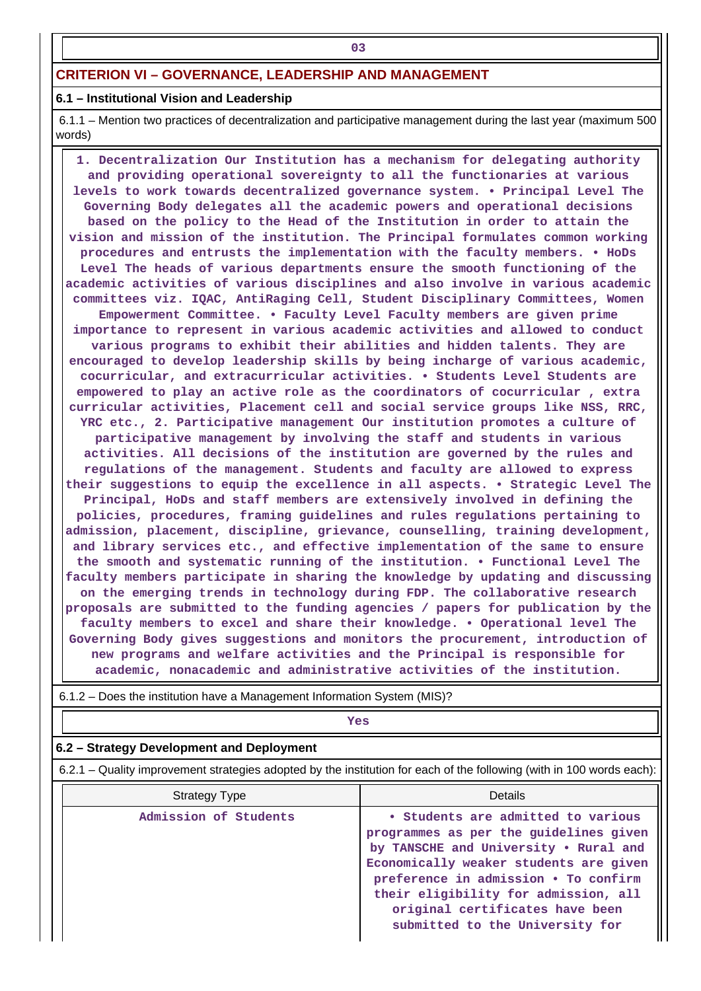#### **6.1 – Institutional Vision and Leadership**

**03**

 6.1.1 – Mention two practices of decentralization and participative management during the last year (maximum 500 words)

 **1. Decentralization Our Institution has a mechanism for delegating authority and providing operational sovereignty to all the functionaries at various levels to work towards decentralized governance system. • Principal Level The Governing Body delegates all the academic powers and operational decisions based on the policy to the Head of the Institution in order to attain the vision and mission of the institution. The Principal formulates common working procedures and entrusts the implementation with the faculty members. • HoDs Level The heads of various departments ensure the smooth functioning of the academic activities of various disciplines and also involve in various academic committees viz. IQAC, AntiRaging Cell, Student Disciplinary Committees, Women Empowerment Committee. • Faculty Level Faculty members are given prime importance to represent in various academic activities and allowed to conduct various programs to exhibit their abilities and hidden talents. They are encouraged to develop leadership skills by being incharge of various academic, cocurricular, and extracurricular activities. • Students Level Students are empowered to play an active role as the coordinators of cocurricular , extra curricular activities, Placement cell and social service groups like NSS, RRC, YRC etc., 2. Participative management Our institution promotes a culture of participative management by involving the staff and students in various activities. All decisions of the institution are governed by the rules and regulations of the management. Students and faculty are allowed to express their suggestions to equip the excellence in all aspects. • Strategic Level The Principal, HoDs and staff members are extensively involved in defining the policies, procedures, framing guidelines and rules regulations pertaining to admission, placement, discipline, grievance, counselling, training development, and library services etc., and effective implementation of the same to ensure the smooth and systematic running of the institution. • Functional Level The faculty members participate in sharing the knowledge by updating and discussing on the emerging trends in technology during FDP. The collaborative research proposals are submitted to the funding agencies / papers for publication by the faculty members to excel and share their knowledge. • Operational level The Governing Body gives suggestions and monitors the procurement, introduction of new programs and welfare activities and the Principal is responsible for**

| 6.1.2 – Does the institution have a Management Information System (MIS)? |                                                                                                                       |                                                                                                                                                                 |  |  |  |  |  |
|--------------------------------------------------------------------------|-----------------------------------------------------------------------------------------------------------------------|-----------------------------------------------------------------------------------------------------------------------------------------------------------------|--|--|--|--|--|
|                                                                          | Yes                                                                                                                   |                                                                                                                                                                 |  |  |  |  |  |
| 6.2 – Strategy Development and Deployment                                |                                                                                                                       |                                                                                                                                                                 |  |  |  |  |  |
|                                                                          | 6.2.1 – Quality improvement strategies adopted by the institution for each of the following (with in 100 words each): |                                                                                                                                                                 |  |  |  |  |  |
|                                                                          | Strategy Type                                                                                                         | Details                                                                                                                                                         |  |  |  |  |  |
|                                                                          | Admission of Students                                                                                                 | • Students are admitted to various<br>programmes as per the guidelines given<br>by TANSCHE and University . Rural and<br>Economically weaker students are given |  |  |  |  |  |

| iew brodramb and werrare accriticies and the trincipar is responsible for<br>academic, nonacademic and administrative activities of the institution. |
|------------------------------------------------------------------------------------------------------------------------------------------------------|
| Does the institution have a Management Information System (MIS)?                                                                                     |
| Yes                                                                                                                                                  |
| trategy Development and Deployment                                                                                                                   |
| Ouglity improvement strategies adopted by the institution for each of the following (with in 100 words each                                          |

**preference in admission • To confirm their eligibility for admission, all original certificates have been submitted to the University for**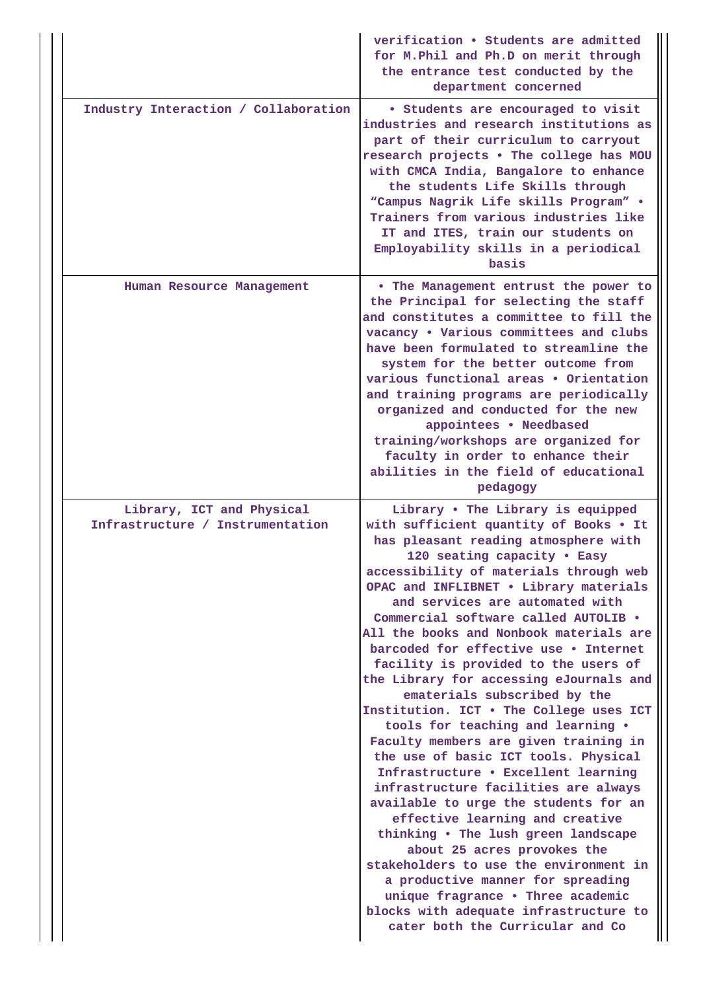|                                                               | verification . Students are admitted<br>for M. Phil and Ph.D on merit through<br>the entrance test conducted by the<br>department concerned                                                                                                                                                                                                                                                                                                                                                                                                                                                                                                                                                                                                                                                                                                                                                                                                                                                                                                                                                                                  |
|---------------------------------------------------------------|------------------------------------------------------------------------------------------------------------------------------------------------------------------------------------------------------------------------------------------------------------------------------------------------------------------------------------------------------------------------------------------------------------------------------------------------------------------------------------------------------------------------------------------------------------------------------------------------------------------------------------------------------------------------------------------------------------------------------------------------------------------------------------------------------------------------------------------------------------------------------------------------------------------------------------------------------------------------------------------------------------------------------------------------------------------------------------------------------------------------------|
| Industry Interaction / Collaboration                          | • Students are encouraged to visit<br>industries and research institutions as<br>part of their curriculum to carryout<br>research projects . The college has MOU<br>with CMCA India, Bangalore to enhance<br>the students Life Skills through<br>"Campus Nagrik Life skills Program" .<br>Trainers from various industries like<br>IT and ITES, train our students on<br>Employability skills in a periodical<br>basis                                                                                                                                                                                                                                                                                                                                                                                                                                                                                                                                                                                                                                                                                                       |
| Human Resource Management                                     | • The Management entrust the power to<br>the Principal for selecting the staff<br>and constitutes a committee to fill the<br>vacancy . Various committees and clubs<br>have been formulated to streamline the<br>system for the better outcome from<br>various functional areas • Orientation<br>and training programs are periodically<br>organized and conducted for the new<br>appointees . Needbased<br>training/workshops are organized for<br>faculty in order to enhance their<br>abilities in the field of educational<br>pedagogy                                                                                                                                                                                                                                                                                                                                                                                                                                                                                                                                                                                   |
| Library, ICT and Physical<br>Infrastructure / Instrumentation | Library . The Library is equipped<br>with sufficient quantity of Books . It<br>has pleasant reading atmosphere with<br>120 seating capacity . Easy<br>accessibility of materials through web<br>OPAC and INFLIBNET . Library materials<br>and services are automated with<br>Commercial software called AUTOLIB .<br>All the books and Nonbook materials are<br>barcoded for effective use . Internet<br>facility is provided to the users of<br>the Library for accessing eJournals and<br>ematerials subscribed by the<br>Institution. ICT . The College uses ICT<br>tools for teaching and learning .<br>Faculty members are given training in<br>the use of basic ICT tools. Physical<br>Infrastructure . Excellent learning<br>infrastructure facilities are always<br>available to urge the students for an<br>effective learning and creative<br>thinking . The lush green landscape<br>about 25 acres provokes the<br>stakeholders to use the environment in<br>a productive manner for spreading<br>unique fragrance . Three academic<br>blocks with adequate infrastructure to<br>cater both the Curricular and Co |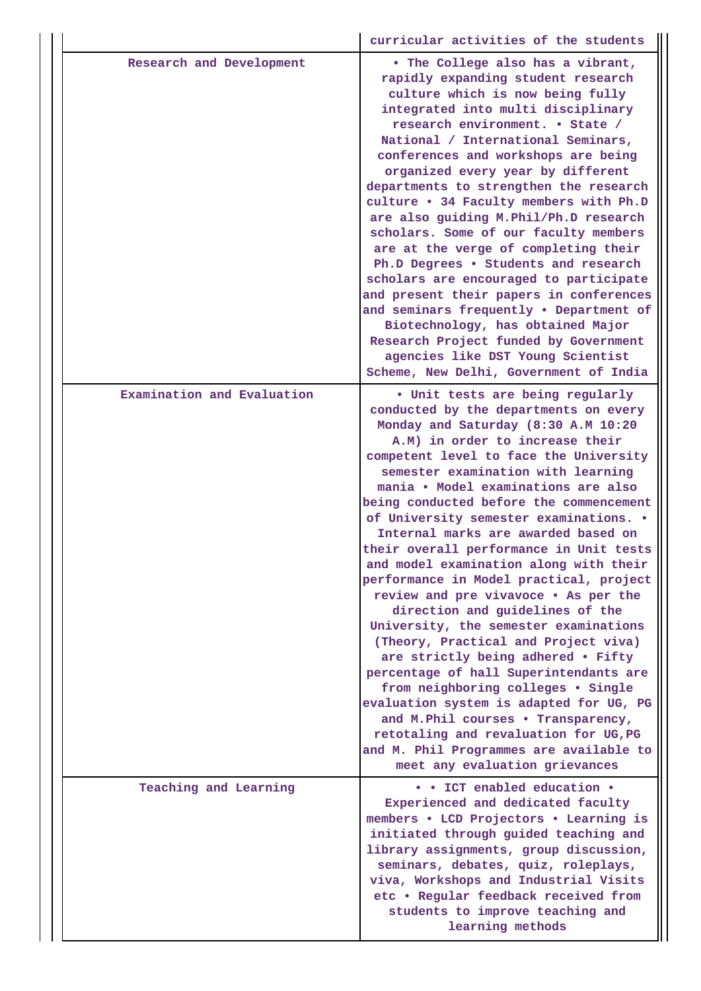|                            | curricular activities of the students                                                                                                                                                                                                                                                                                                                                                                                                                                                                                                                                                                                                                                                                                                                                                                                                                                                                                                                                                                                           |  |  |  |  |
|----------------------------|---------------------------------------------------------------------------------------------------------------------------------------------------------------------------------------------------------------------------------------------------------------------------------------------------------------------------------------------------------------------------------------------------------------------------------------------------------------------------------------------------------------------------------------------------------------------------------------------------------------------------------------------------------------------------------------------------------------------------------------------------------------------------------------------------------------------------------------------------------------------------------------------------------------------------------------------------------------------------------------------------------------------------------|--|--|--|--|
| Research and Development   | . The College also has a vibrant,<br>rapidly expanding student research<br>culture which is now being fully<br>integrated into multi disciplinary<br>research environment. • State /<br>National / International Seminars,<br>conferences and workshops are being<br>organized every year by different<br>departments to strengthen the research<br>culture . 34 Faculty members with Ph.D<br>are also guiding M. Phil/Ph.D research<br>scholars. Some of our faculty members<br>are at the verge of completing their<br>Ph.D Degrees . Students and research<br>scholars are encouraged to participate<br>and present their papers in conferences<br>and seminars frequently . Department of<br>Biotechnology, has obtained Major<br>Research Project funded by Government<br>agencies like DST Young Scientist<br>Scheme, New Delhi, Government of India                                                                                                                                                                      |  |  |  |  |
| Examination and Evaluation | . Unit tests are being regularly<br>conducted by the departments on every<br>Monday and Saturday (8:30 A.M 10:20<br>A.M) in order to increase their<br>competent level to face the University<br>semester examination with learning<br>mania . Model examinations are also<br>being conducted before the commencement<br>of University semester examinations. .<br>Internal marks are awarded based on<br>their overall performance in Unit tests<br>and model examination along with their<br>performance in Model practical, project<br>review and pre vivavoce . As per the<br>direction and guidelines of the<br>University, the semester examinations<br>(Theory, Practical and Project viva)<br>are strictly being adhered . Fifty<br>percentage of hall Superintendants are<br>from neighboring colleges . Single<br>evaluation system is adapted for UG, PG<br>and M.Phil courses . Transparency,<br>retotaling and revaluation for UG, PG<br>and M. Phil Programmes are available to<br>meet any evaluation grievances |  |  |  |  |
| Teaching and Learning      | • • ICT enabled education •<br>Experienced and dedicated faculty<br>members . LCD Projectors . Learning is<br>initiated through guided teaching and<br>library assignments, group discussion,<br>seminars, debates, quiz, roleplays,<br>viva, Workshops and Industrial Visits<br>etc . Regular feedback received from<br>students to improve teaching and<br>learning methods                                                                                                                                                                                                                                                                                                                                                                                                                                                                                                                                                                                                                                                   |  |  |  |  |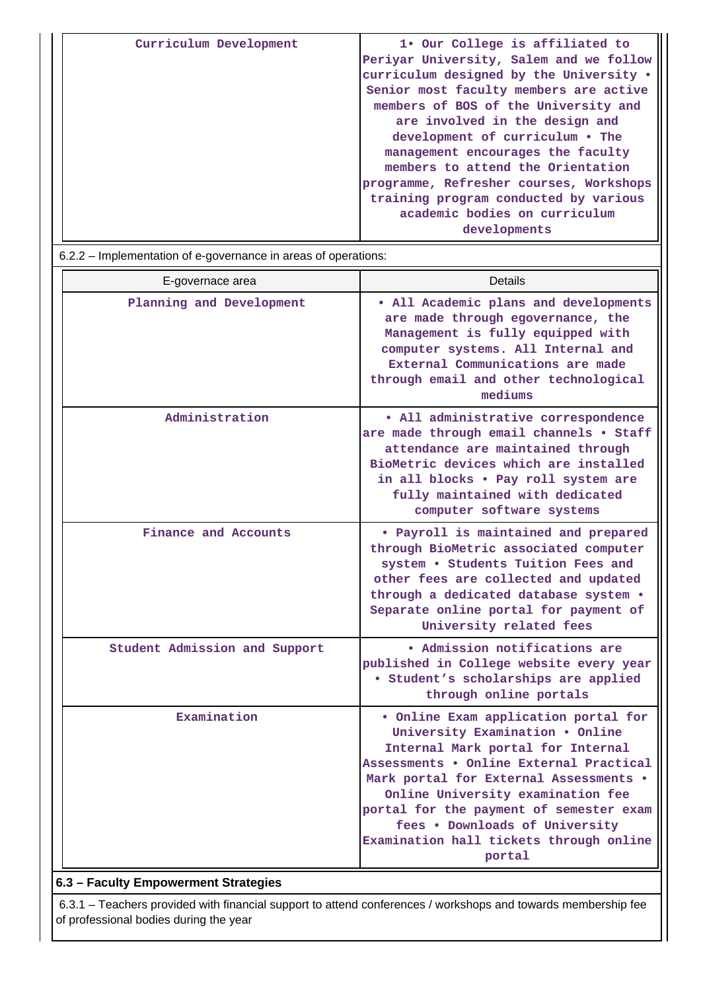| Curriculum Development | 1. Our College is affiliated to<br>Periyar University, Salem and we follow<br>curriculum designed by the University .<br>Senior most faculty members are active<br>members of BOS of the University and<br>are involved in the design and<br>development of curriculum . The<br>management encourages the faculty<br>members to attend the Orientation<br>programme, Refresher courses, Workshops |
|------------------------|---------------------------------------------------------------------------------------------------------------------------------------------------------------------------------------------------------------------------------------------------------------------------------------------------------------------------------------------------------------------------------------------------|
|                        | training program conducted by various                                                                                                                                                                                                                                                                                                                                                             |
|                        | academic bodies on curriculum<br>developments                                                                                                                                                                                                                                                                                                                                                     |

| 6.2.2 – Implementation of e-governance in areas of operations: |                                                                                                                                                                                                                                                                                                                                                                          |  |  |  |  |  |
|----------------------------------------------------------------|--------------------------------------------------------------------------------------------------------------------------------------------------------------------------------------------------------------------------------------------------------------------------------------------------------------------------------------------------------------------------|--|--|--|--|--|
| E-governace area                                               | Details                                                                                                                                                                                                                                                                                                                                                                  |  |  |  |  |  |
| Planning and Development                                       | . All Academic plans and developments<br>are made through egovernance, the<br>Management is fully equipped with<br>computer systems. All Internal and<br>External Communications are made<br>through email and other technological<br>mediums                                                                                                                            |  |  |  |  |  |
| Administration                                                 | · All administrative correspondence<br>are made through email channels . Staff<br>attendance are maintained through<br>BioMetric devices which are installed<br>in all blocks . Pay roll system are<br>fully maintained with dedicated<br>computer software systems                                                                                                      |  |  |  |  |  |
| Finance and Accounts                                           | • Payroll is maintained and prepared<br>through BioMetric associated computer<br>system . Students Tuition Fees and<br>other fees are collected and updated<br>through a dedicated database system .<br>Separate online portal for payment of<br>University related fees                                                                                                 |  |  |  |  |  |
| Student Admission and Support                                  | • Admission notifications are<br>published in College website every year<br>· Student's scholarships are applied<br>through online portals                                                                                                                                                                                                                               |  |  |  |  |  |
| Examination                                                    | . Online Exam application portal for<br>University Examination . Online<br>Internal Mark portal for Internal<br>Assessments . Online External Practical<br>Mark portal for External Assessments .<br>Online University examination fee<br>portal for the payment of semester exam<br>fees . Downloads of University<br>Examination hall tickets through online<br>portal |  |  |  |  |  |

### **6.3 – Faculty Empowerment Strategies**

 6.3.1 – Teachers provided with financial support to attend conferences / workshops and towards membership fee of professional bodies during the year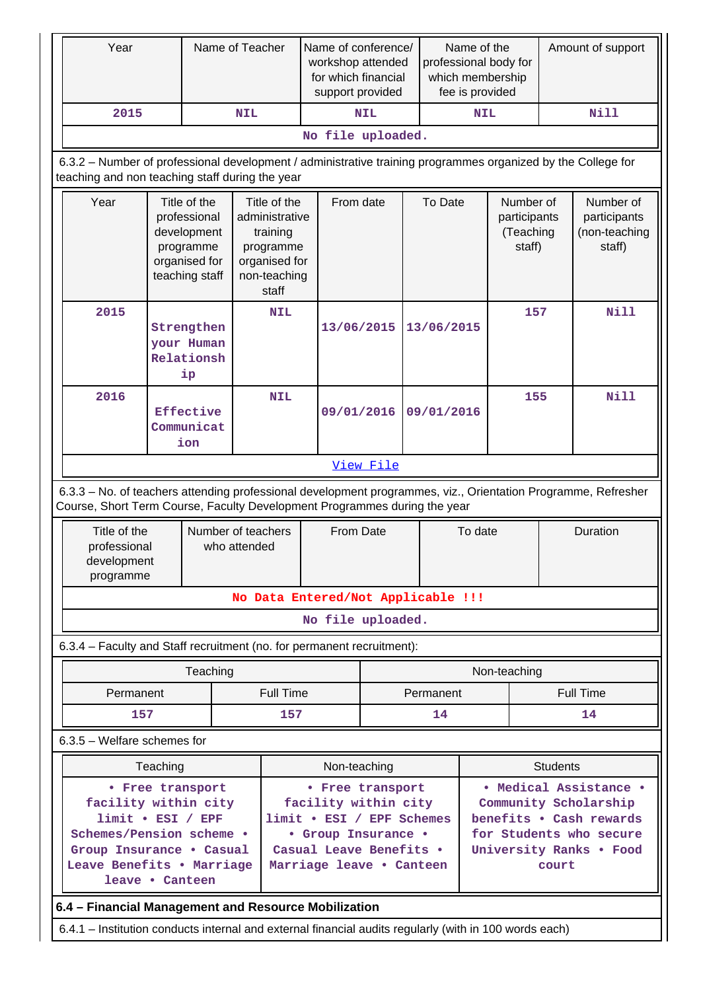| Year                                                                                                                                                                                       |                                                                                             | Name of Teacher                | Name of conference/<br>workshop attended<br>for which financial<br>support provided               |                                                     |                                                   | Name of the<br>professional body for<br>which membership<br>fee is provided |                     | Amount of support                                |                 |                                                      |
|--------------------------------------------------------------------------------------------------------------------------------------------------------------------------------------------|---------------------------------------------------------------------------------------------|--------------------------------|---------------------------------------------------------------------------------------------------|-----------------------------------------------------|---------------------------------------------------|-----------------------------------------------------------------------------|---------------------|--------------------------------------------------|-----------------|------------------------------------------------------|
| 2015                                                                                                                                                                                       |                                                                                             |                                | <b>NIL</b>                                                                                        | <b>NIL</b>                                          |                                                   |                                                                             | Nill<br><b>NIL</b>  |                                                  |                 |                                                      |
|                                                                                                                                                                                            |                                                                                             |                                |                                                                                                   | No file uploaded.                                   |                                                   |                                                                             |                     |                                                  |                 |                                                      |
| 6.3.2 – Number of professional development / administrative training programmes organized by the College for<br>teaching and non teaching staff during the year                            |                                                                                             |                                |                                                                                                   |                                                     |                                                   |                                                                             |                     |                                                  |                 |                                                      |
| Year                                                                                                                                                                                       | Title of the<br>professional<br>development<br>programme<br>organised for<br>teaching staff |                                | Title of the<br>administrative<br>training<br>programme<br>organised for<br>non-teaching<br>staff |                                                     | From date                                         | To Date                                                                     |                     | Number of<br>participants<br>(Teaching<br>staff) |                 | Number of<br>participants<br>(non-teaching<br>staff) |
| 2015                                                                                                                                                                                       | Strengthen<br>your Human<br>Relationsh<br>ip                                                |                                | <b>NIL</b>                                                                                        |                                                     | 13/06/2015                                        | 13/06/2015                                                                  |                     | 157                                              |                 | <b>Nill</b>                                          |
| 2016                                                                                                                                                                                       |                                                                                             | Effective<br>Communicat<br>ion | <b>NIL</b>                                                                                        |                                                     | 09/01/2016<br>09/01/2016                          |                                                                             |                     | 155                                              |                 | <b>Nill</b>                                          |
|                                                                                                                                                                                            |                                                                                             |                                |                                                                                                   |                                                     | View File                                         |                                                                             |                     |                                                  |                 |                                                      |
| 6.3.3 - No. of teachers attending professional development programmes, viz., Orientation Programme, Refresher<br>Course, Short Term Course, Faculty Development Programmes during the year |                                                                                             |                                |                                                                                                   |                                                     |                                                   |                                                                             |                     |                                                  |                 |                                                      |
| Title of the<br>professional<br>development<br>programme                                                                                                                                   |                                                                                             |                                | Number of teachers<br>who attended                                                                | From Date                                           |                                                   |                                                                             | Duration<br>To date |                                                  |                 |                                                      |
|                                                                                                                                                                                            |                                                                                             |                                |                                                                                                   | No Data Entered/Not Applicable !!!                  |                                                   |                                                                             |                     |                                                  |                 |                                                      |
|                                                                                                                                                                                            |                                                                                             |                                |                                                                                                   | No file uploaded.                                   |                                                   |                                                                             |                     |                                                  |                 |                                                      |
| 6.3.4 - Faculty and Staff recruitment (no. for permanent recruitment):                                                                                                                     |                                                                                             |                                |                                                                                                   |                                                     |                                                   |                                                                             |                     |                                                  |                 |                                                      |
|                                                                                                                                                                                            |                                                                                             | Teaching                       |                                                                                                   |                                                     |                                                   |                                                                             |                     | Non-teaching                                     |                 |                                                      |
| Permanent                                                                                                                                                                                  |                                                                                             |                                | <b>Full Time</b>                                                                                  |                                                     |                                                   | Permanent                                                                   |                     |                                                  |                 | <b>Full Time</b>                                     |
| 157                                                                                                                                                                                        |                                                                                             |                                | 157                                                                                               |                                                     |                                                   | 14                                                                          |                     |                                                  |                 | 14                                                   |
| 6.3.5 - Welfare schemes for                                                                                                                                                                |                                                                                             |                                |                                                                                                   |                                                     |                                                   |                                                                             |                     |                                                  |                 |                                                      |
|                                                                                                                                                                                            | Teaching                                                                                    |                                |                                                                                                   |                                                     | Non-teaching                                      |                                                                             |                     |                                                  | <b>Students</b> |                                                      |
|                                                                                                                                                                                            |                                                                                             | • Free transport               |                                                                                                   | • Free transport                                    |                                                   |                                                                             |                     |                                                  |                 | • Medical Assistance •                               |
|                                                                                                                                                                                            | facility within city<br>$limit \cdot EST / EPF$                                             |                                |                                                                                                   |                                                     | facility within city<br>limit . ESI / EPF Schemes |                                                                             |                     |                                                  |                 | Community Scholarship<br>benefits . Cash rewards     |
| Schemes/Pension scheme .                                                                                                                                                                   |                                                                                             |                                |                                                                                                   | • Group Insurance •                                 |                                                   |                                                                             |                     |                                                  |                 | for Students who secure                              |
| Group Insurance . Casual<br>Leave Benefits . Marriage<br>leave • Canteen                                                                                                                   |                                                                                             |                                |                                                                                                   | Casual Leave Benefits .<br>Marriage leave . Canteen |                                                   |                                                                             |                     |                                                  | court           | University Ranks . Food                              |
| 6.4 - Financial Management and Resource Mobilization                                                                                                                                       |                                                                                             |                                |                                                                                                   |                                                     |                                                   |                                                                             |                     |                                                  |                 |                                                      |
| 6.4.1 – Institution conducts internal and external financial audits regularly (with in 100 words each)                                                                                     |                                                                                             |                                |                                                                                                   |                                                     |                                                   |                                                                             |                     |                                                  |                 |                                                      |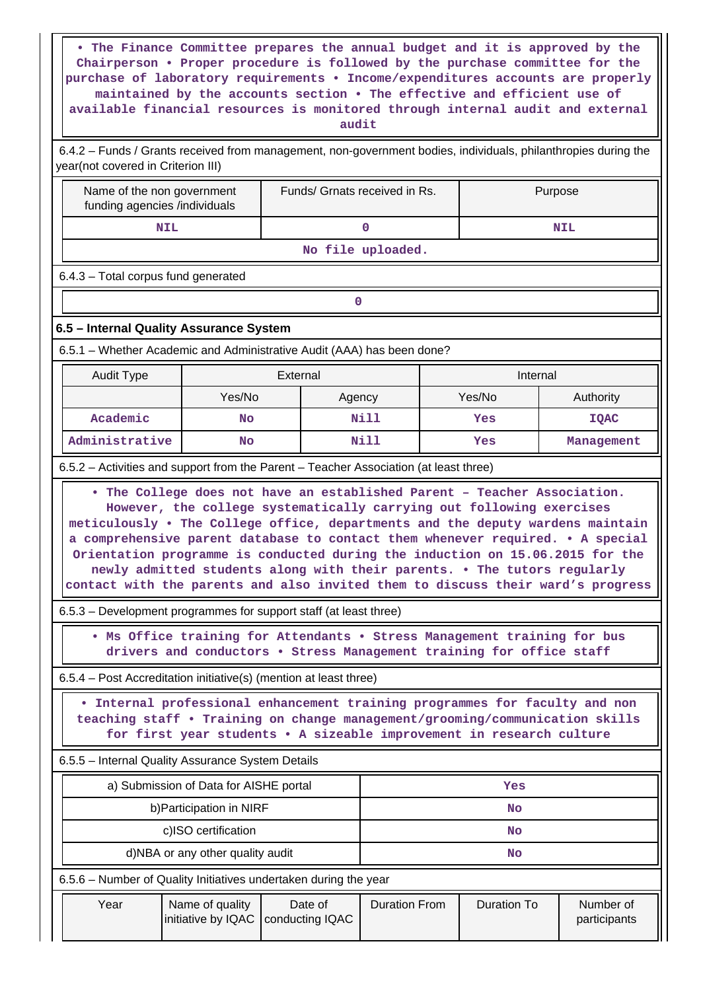| The Finance Committee prepares the annual budget and it is approved by the<br>$\bullet$<br>Chairperson . Proper procedure is followed by the purchase committee for the<br>purchase of laboratory requirements . Income/expenditures accounts are properly<br>maintained by the accounts section . The effective and efficient use of<br>available financial resources is monitored through internal audit and external<br>audit |                                        |                                                                                                                                                                                                                                   |                      |  |                    |                                                                                                                                                                                                                                                                                                                                      |  |  |
|----------------------------------------------------------------------------------------------------------------------------------------------------------------------------------------------------------------------------------------------------------------------------------------------------------------------------------------------------------------------------------------------------------------------------------|----------------------------------------|-----------------------------------------------------------------------------------------------------------------------------------------------------------------------------------------------------------------------------------|----------------------|--|--------------------|--------------------------------------------------------------------------------------------------------------------------------------------------------------------------------------------------------------------------------------------------------------------------------------------------------------------------------------|--|--|
| 6.4.2 - Funds / Grants received from management, non-government bodies, individuals, philanthropies during the<br>year(not covered in Criterion III)                                                                                                                                                                                                                                                                             |                                        |                                                                                                                                                                                                                                   |                      |  |                    |                                                                                                                                                                                                                                                                                                                                      |  |  |
| Name of the non government<br>funding agencies /individuals                                                                                                                                                                                                                                                                                                                                                                      |                                        | Funds/ Grnats received in Rs.                                                                                                                                                                                                     |                      |  |                    | Purpose                                                                                                                                                                                                                                                                                                                              |  |  |
|                                                                                                                                                                                                                                                                                                                                                                                                                                  | <b>NIL</b><br>0<br><b>NIL</b>          |                                                                                                                                                                                                                                   |                      |  |                    |                                                                                                                                                                                                                                                                                                                                      |  |  |
|                                                                                                                                                                                                                                                                                                                                                                                                                                  |                                        |                                                                                                                                                                                                                                   | No file uploaded.    |  |                    |                                                                                                                                                                                                                                                                                                                                      |  |  |
| 6.4.3 - Total corpus fund generated                                                                                                                                                                                                                                                                                                                                                                                              |                                        |                                                                                                                                                                                                                                   |                      |  |                    |                                                                                                                                                                                                                                                                                                                                      |  |  |
|                                                                                                                                                                                                                                                                                                                                                                                                                                  |                                        | 0                                                                                                                                                                                                                                 |                      |  |                    |                                                                                                                                                                                                                                                                                                                                      |  |  |
| 6.5 - Internal Quality Assurance System                                                                                                                                                                                                                                                                                                                                                                                          |                                        |                                                                                                                                                                                                                                   |                      |  |                    |                                                                                                                                                                                                                                                                                                                                      |  |  |
|                                                                                                                                                                                                                                                                                                                                                                                                                                  |                                        |                                                                                                                                                                                                                                   |                      |  |                    |                                                                                                                                                                                                                                                                                                                                      |  |  |
| 6.5.1 – Whether Academic and Administrative Audit (AAA) has been done?<br>External<br>Internal<br>Audit Type                                                                                                                                                                                                                                                                                                                     |                                        |                                                                                                                                                                                                                                   |                      |  |                    |                                                                                                                                                                                                                                                                                                                                      |  |  |
|                                                                                                                                                                                                                                                                                                                                                                                                                                  | Yes/No                                 | Agency                                                                                                                                                                                                                            |                      |  | Yes/No             | Authority                                                                                                                                                                                                                                                                                                                            |  |  |
| Academic                                                                                                                                                                                                                                                                                                                                                                                                                         | <b>No</b>                              |                                                                                                                                                                                                                                   | Nill                 |  | Yes                | <b>IQAC</b>                                                                                                                                                                                                                                                                                                                          |  |  |
| Administrative                                                                                                                                                                                                                                                                                                                                                                                                                   | <b>No</b>                              |                                                                                                                                                                                                                                   | Nill                 |  | Yes                | Management                                                                                                                                                                                                                                                                                                                           |  |  |
| 6.5.2 - Activities and support from the Parent - Teacher Association (at least three)                                                                                                                                                                                                                                                                                                                                            |                                        |                                                                                                                                                                                                                                   |                      |  |                    |                                                                                                                                                                                                                                                                                                                                      |  |  |
|                                                                                                                                                                                                                                                                                                                                                                                                                                  |                                        | . The College does not have an established Parent - Teacher Association.<br>However, the college systematically carrying out following exercises<br>newly admitted students along with their parents. . The tutors regularly      |                      |  |                    | meticulously . The College office, departments and the deputy wardens maintain<br>a comprehensive parent database to contact them whenever required. . A special<br>Orientation programme is conducted during the induction on 15.06.2015 for the<br>contact with the parents and also invited them to discuss their ward's progress |  |  |
| 6.5.3 – Development programmes for support staff (at least three)                                                                                                                                                                                                                                                                                                                                                                |                                        |                                                                                                                                                                                                                                   |                      |  |                    |                                                                                                                                                                                                                                                                                                                                      |  |  |
|                                                                                                                                                                                                                                                                                                                                                                                                                                  |                                        | . Ms Office training for Attendants . Stress Management training for bus<br>drivers and conductors . Stress Management training for office staff                                                                                  |                      |  |                    |                                                                                                                                                                                                                                                                                                                                      |  |  |
| 6.5.4 – Post Accreditation initiative(s) (mention at least three)                                                                                                                                                                                                                                                                                                                                                                |                                        |                                                                                                                                                                                                                                   |                      |  |                    |                                                                                                                                                                                                                                                                                                                                      |  |  |
|                                                                                                                                                                                                                                                                                                                                                                                                                                  |                                        | Internal professional enhancement training programmes for faculty and non<br>teaching staff . Training on change management/grooming/communication skills<br>for first year students . A sizeable improvement in research culture |                      |  |                    |                                                                                                                                                                                                                                                                                                                                      |  |  |
| 6.5.5 - Internal Quality Assurance System Details                                                                                                                                                                                                                                                                                                                                                                                |                                        |                                                                                                                                                                                                                                   |                      |  |                    |                                                                                                                                                                                                                                                                                                                                      |  |  |
|                                                                                                                                                                                                                                                                                                                                                                                                                                  | a) Submission of Data for AISHE portal |                                                                                                                                                                                                                                   |                      |  | Yes                |                                                                                                                                                                                                                                                                                                                                      |  |  |
|                                                                                                                                                                                                                                                                                                                                                                                                                                  | b) Participation in NIRF               |                                                                                                                                                                                                                                   |                      |  | No                 |                                                                                                                                                                                                                                                                                                                                      |  |  |
|                                                                                                                                                                                                                                                                                                                                                                                                                                  | c)ISO certification<br><b>No</b>       |                                                                                                                                                                                                                                   |                      |  |                    |                                                                                                                                                                                                                                                                                                                                      |  |  |
|                                                                                                                                                                                                                                                                                                                                                                                                                                  | d)NBA or any other quality audit<br>No |                                                                                                                                                                                                                                   |                      |  |                    |                                                                                                                                                                                                                                                                                                                                      |  |  |
| 6.5.6 – Number of Quality Initiatives undertaken during the year                                                                                                                                                                                                                                                                                                                                                                 |                                        |                                                                                                                                                                                                                                   |                      |  |                    |                                                                                                                                                                                                                                                                                                                                      |  |  |
| Year                                                                                                                                                                                                                                                                                                                                                                                                                             | Name of quality<br>initiative by IQAC  | Date of<br>conducting IQAC                                                                                                                                                                                                        | <b>Duration From</b> |  | <b>Duration To</b> | Number of<br>participants                                                                                                                                                                                                                                                                                                            |  |  |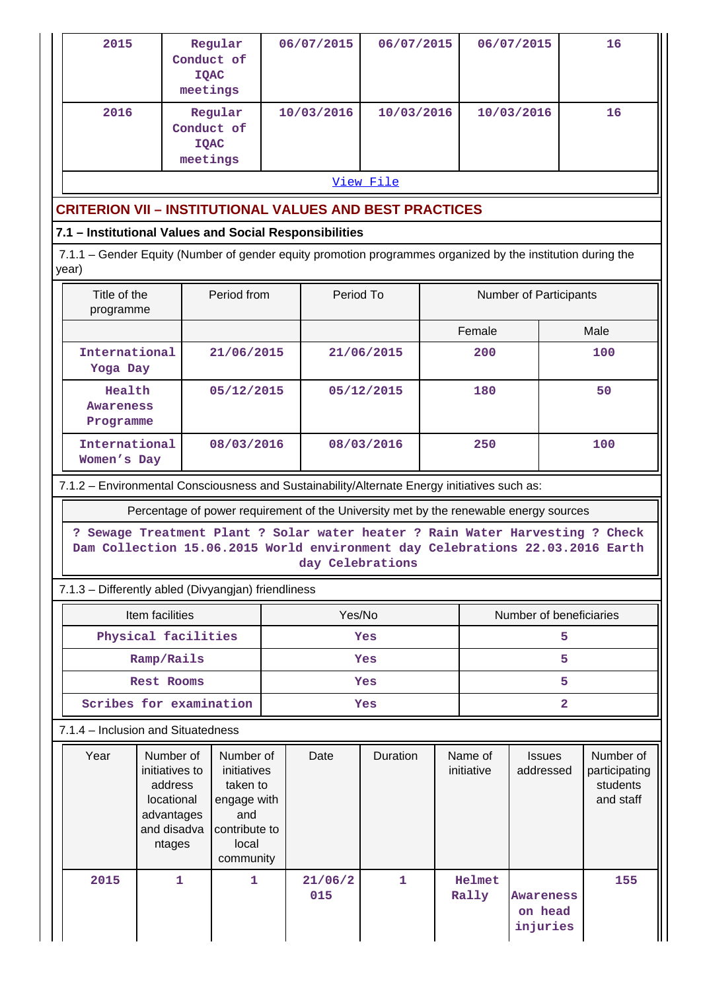| 2015                                                                                                                 | meetings                                                                                     | Regular<br>Conduct of<br><b>IQAC</b>                                                 |  | 06/07/2015        |            | 06/07/2015<br>06/07/2015 |                 | 16                                                                                                                                                             |                                        |  |
|----------------------------------------------------------------------------------------------------------------------|----------------------------------------------------------------------------------------------|--------------------------------------------------------------------------------------|--|-------------------|------------|--------------------------|-----------------|----------------------------------------------------------------------------------------------------------------------------------------------------------------|----------------------------------------|--|
| 2016                                                                                                                 | meetings                                                                                     | Regular<br>Conduct of<br><b>IQAC</b>                                                 |  | 10/03/2016        | 10/03/2016 |                          |                 | 10/03/2016                                                                                                                                                     | 16                                     |  |
|                                                                                                                      |                                                                                              |                                                                                      |  |                   | View File  |                          |                 |                                                                                                                                                                |                                        |  |
| <b>CRITERION VII - INSTITUTIONAL VALUES AND BEST PRACTICES</b>                                                       |                                                                                              |                                                                                      |  |                   |            |                          |                 |                                                                                                                                                                |                                        |  |
| 7.1 - Institutional Values and Social Responsibilities                                                               |                                                                                              |                                                                                      |  |                   |            |                          |                 |                                                                                                                                                                |                                        |  |
| 7.1.1 – Gender Equity (Number of gender equity promotion programmes organized by the institution during the<br>year) |                                                                                              |                                                                                      |  |                   |            |                          |                 |                                                                                                                                                                |                                        |  |
| Period from<br>Period To<br>Title of the<br>Number of Participants<br>programme                                      |                                                                                              |                                                                                      |  |                   |            |                          |                 |                                                                                                                                                                |                                        |  |
|                                                                                                                      |                                                                                              |                                                                                      |  |                   |            |                          | Female          |                                                                                                                                                                | Male                                   |  |
| International<br>Yoga Day                                                                                            |                                                                                              | 21/06/2015                                                                           |  |                   | 21/06/2015 |                          | 200             |                                                                                                                                                                | 100                                    |  |
| Health<br>Awareness<br>Programme                                                                                     |                                                                                              | 05/12/2015                                                                           |  |                   | 05/12/2015 | 180                      |                 | 50                                                                                                                                                             |                                        |  |
| International<br>Women's Day                                                                                         |                                                                                              | 08/03/2016                                                                           |  | 08/03/2016<br>250 |            |                          | 100             |                                                                                                                                                                |                                        |  |
|                                                                                                                      | 7.1.2 - Environmental Consciousness and Sustainability/Alternate Energy initiatives such as: |                                                                                      |  |                   |            |                          |                 |                                                                                                                                                                |                                        |  |
|                                                                                                                      |                                                                                              |                                                                                      |  |                   |            |                          |                 | Percentage of power requirement of the University met by the renewable energy sources                                                                          |                                        |  |
|                                                                                                                      |                                                                                              |                                                                                      |  | day Celebrations  |            |                          |                 | ? Sewage Treatment Plant ? Solar water heater ? Rain Water Harvesting ? Check<br>Dam Collection 15.06.2015 World environment day Celebrations 22.03.2016 Earth |                                        |  |
|                                                                                                                      | 7.1.3 - Differently abled (Divyangjan) friendliness                                          |                                                                                      |  |                   |            |                          |                 |                                                                                                                                                                |                                        |  |
|                                                                                                                      | Item facilities                                                                              |                                                                                      |  | Yes/No            |            |                          |                 | Number of beneficiaries                                                                                                                                        |                                        |  |
|                                                                                                                      | Physical facilities                                                                          |                                                                                      |  |                   | Yes        |                          |                 | 5                                                                                                                                                              |                                        |  |
|                                                                                                                      | Ramp/Rails                                                                                   |                                                                                      |  |                   | Yes        |                          |                 | 5                                                                                                                                                              |                                        |  |
|                                                                                                                      | <b>Rest Rooms</b><br>Scribes for examination                                                 |                                                                                      |  |                   | Yes        |                          |                 | 5<br>$\overline{\mathbf{2}}$                                                                                                                                   |                                        |  |
|                                                                                                                      | 7.1.4 - Inclusion and Situatedness                                                           |                                                                                      |  |                   | Yes        |                          |                 |                                                                                                                                                                |                                        |  |
| Year                                                                                                                 | Number of                                                                                    | Number of                                                                            |  | Date              | Duration   |                          |                 | <b>Issues</b>                                                                                                                                                  | Number of                              |  |
|                                                                                                                      | initiatives to<br>address<br>locational<br>advantages<br>and disadva<br>ntages               | initiatives<br>taken to<br>engage with<br>and<br>contribute to<br>local<br>community |  |                   |            | Name of<br>initiative    |                 | addressed                                                                                                                                                      | participating<br>students<br>and staff |  |
| 2015                                                                                                                 | 1                                                                                            | 1                                                                                    |  | 21/06/2<br>015    | 1          |                          | Helmet<br>Rally | Awareness<br>on head<br>injuries                                                                                                                               | 155                                    |  |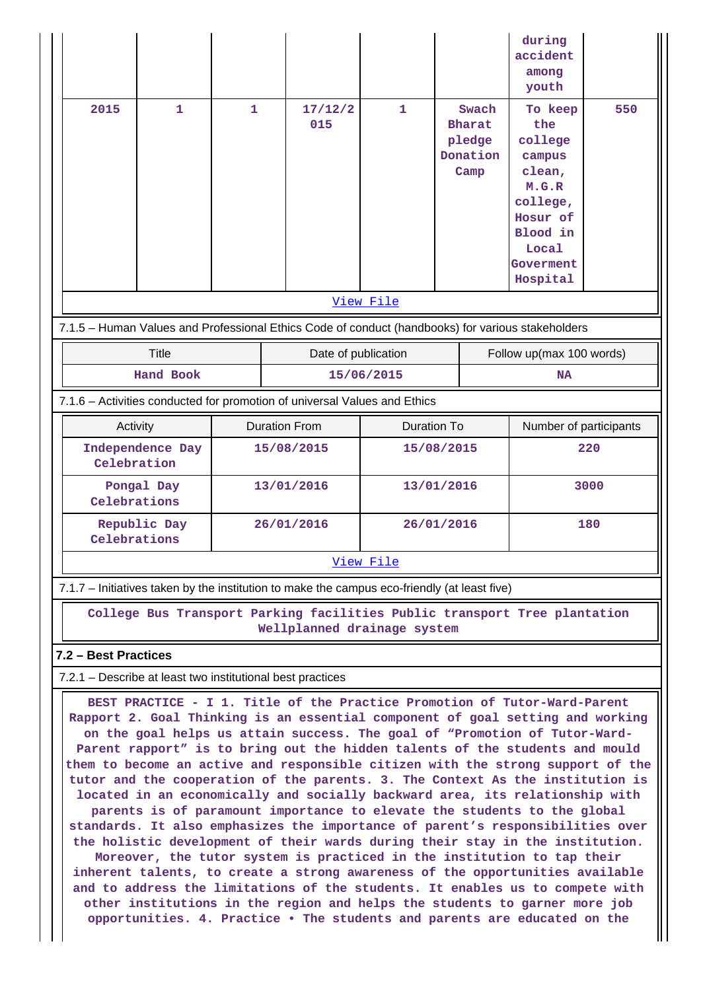|                                                                                                                                                                                                                                                                                                                                                                                                                                                                                                                                                                                                                                                                                                                                                                                                                                                                                                                                                                                                                                                                                                                                                                                                                                       |                  |                      |                |                    |                                                      | during<br>accident<br>among<br>youth                                                                                         |     |
|---------------------------------------------------------------------------------------------------------------------------------------------------------------------------------------------------------------------------------------------------------------------------------------------------------------------------------------------------------------------------------------------------------------------------------------------------------------------------------------------------------------------------------------------------------------------------------------------------------------------------------------------------------------------------------------------------------------------------------------------------------------------------------------------------------------------------------------------------------------------------------------------------------------------------------------------------------------------------------------------------------------------------------------------------------------------------------------------------------------------------------------------------------------------------------------------------------------------------------------|------------------|----------------------|----------------|--------------------|------------------------------------------------------|------------------------------------------------------------------------------------------------------------------------------|-----|
| 2015                                                                                                                                                                                                                                                                                                                                                                                                                                                                                                                                                                                                                                                                                                                                                                                                                                                                                                                                                                                                                                                                                                                                                                                                                                  | $\mathbf{1}$     | $\mathbf{1}$         | 17/12/2<br>015 | $\mathbf{1}$       | Swach<br><b>Bharat</b><br>pledge<br>Donation<br>Camp | To keep<br>the<br>college<br>campus<br>clean,<br>M.G.R<br>college,<br>Hosur of<br>Blood in<br>Local<br>Goverment<br>Hospital | 550 |
| View File                                                                                                                                                                                                                                                                                                                                                                                                                                                                                                                                                                                                                                                                                                                                                                                                                                                                                                                                                                                                                                                                                                                                                                                                                             |                  |                      |                |                    |                                                      |                                                                                                                              |     |
| 7.1.5 - Human Values and Professional Ethics Code of conduct (handbooks) for various stakeholders                                                                                                                                                                                                                                                                                                                                                                                                                                                                                                                                                                                                                                                                                                                                                                                                                                                                                                                                                                                                                                                                                                                                     |                  |                      |                |                    |                                                      |                                                                                                                              |     |
|                                                                                                                                                                                                                                                                                                                                                                                                                                                                                                                                                                                                                                                                                                                                                                                                                                                                                                                                                                                                                                                                                                                                                                                                                                       | <b>Title</b>     | Date of publication  |                |                    |                                                      | Follow up(max 100 words)                                                                                                     |     |
|                                                                                                                                                                                                                                                                                                                                                                                                                                                                                                                                                                                                                                                                                                                                                                                                                                                                                                                                                                                                                                                                                                                                                                                                                                       | <b>Hand Book</b> |                      |                | 15/06/2015         |                                                      | <b>NA</b>                                                                                                                    |     |
| 7.1.6 - Activities conducted for promotion of universal Values and Ethics                                                                                                                                                                                                                                                                                                                                                                                                                                                                                                                                                                                                                                                                                                                                                                                                                                                                                                                                                                                                                                                                                                                                                             |                  |                      |                |                    |                                                      |                                                                                                                              |     |
| Activity                                                                                                                                                                                                                                                                                                                                                                                                                                                                                                                                                                                                                                                                                                                                                                                                                                                                                                                                                                                                                                                                                                                                                                                                                              |                  | <b>Duration From</b> |                | <b>Duration To</b> |                                                      | Number of participants                                                                                                       |     |
| Independence Day<br>Celebration                                                                                                                                                                                                                                                                                                                                                                                                                                                                                                                                                                                                                                                                                                                                                                                                                                                                                                                                                                                                                                                                                                                                                                                                       |                  | 15/08/2015           |                | 15/08/2015         |                                                      | 220                                                                                                                          |     |
| Pongal Day<br>Celebrations                                                                                                                                                                                                                                                                                                                                                                                                                                                                                                                                                                                                                                                                                                                                                                                                                                                                                                                                                                                                                                                                                                                                                                                                            |                  | 13/01/2016           |                | 13/01/2016         |                                                      | 3000                                                                                                                         |     |
| Republic Day<br>Celebrations                                                                                                                                                                                                                                                                                                                                                                                                                                                                                                                                                                                                                                                                                                                                                                                                                                                                                                                                                                                                                                                                                                                                                                                                          |                  | 26/01/2016           |                | 26/01/2016         |                                                      | 180                                                                                                                          |     |
| View File                                                                                                                                                                                                                                                                                                                                                                                                                                                                                                                                                                                                                                                                                                                                                                                                                                                                                                                                                                                                                                                                                                                                                                                                                             |                  |                      |                |                    |                                                      |                                                                                                                              |     |
| 7.1.7 – Initiatives taken by the institution to make the campus eco-friendly (at least five)                                                                                                                                                                                                                                                                                                                                                                                                                                                                                                                                                                                                                                                                                                                                                                                                                                                                                                                                                                                                                                                                                                                                          |                  |                      |                |                    |                                                      |                                                                                                                              |     |
| College Bus Transport Parking facilities Public transport Tree plantation<br>Wellplanned drainage system                                                                                                                                                                                                                                                                                                                                                                                                                                                                                                                                                                                                                                                                                                                                                                                                                                                                                                                                                                                                                                                                                                                              |                  |                      |                |                    |                                                      |                                                                                                                              |     |
| 7.2 - Best Practices                                                                                                                                                                                                                                                                                                                                                                                                                                                                                                                                                                                                                                                                                                                                                                                                                                                                                                                                                                                                                                                                                                                                                                                                                  |                  |                      |                |                    |                                                      |                                                                                                                              |     |
| 7.2.1 - Describe at least two institutional best practices                                                                                                                                                                                                                                                                                                                                                                                                                                                                                                                                                                                                                                                                                                                                                                                                                                                                                                                                                                                                                                                                                                                                                                            |                  |                      |                |                    |                                                      |                                                                                                                              |     |
| BEST PRACTICE - I 1. Title of the Practice Promotion of Tutor-Ward-Parent<br>Rapport 2. Goal Thinking is an essential component of goal setting and working<br>on the goal helps us attain success. The goal of "Promotion of Tutor-Ward-<br>Parent rapport" is to bring out the hidden talents of the students and mould<br>them to become an active and responsible citizen with the strong support of the<br>tutor and the cooperation of the parents. 3. The Context As the institution is<br>located in an economically and socially backward area, its relationship with<br>parents is of paramount importance to elevate the students to the global<br>standards. It also emphasizes the importance of parent's responsibilities over<br>the holistic development of their wards during their stay in the institution.<br>Moreover, the tutor system is practiced in the institution to tap their<br>inherent talents, to create a strong awareness of the opportunities available<br>and to address the limitations of the students. It enables us to compete with<br>other institutions in the region and helps the students to garner more job<br>opportunities. 4. Practice . The students and parents are educated on the |                  |                      |                |                    |                                                      |                                                                                                                              |     |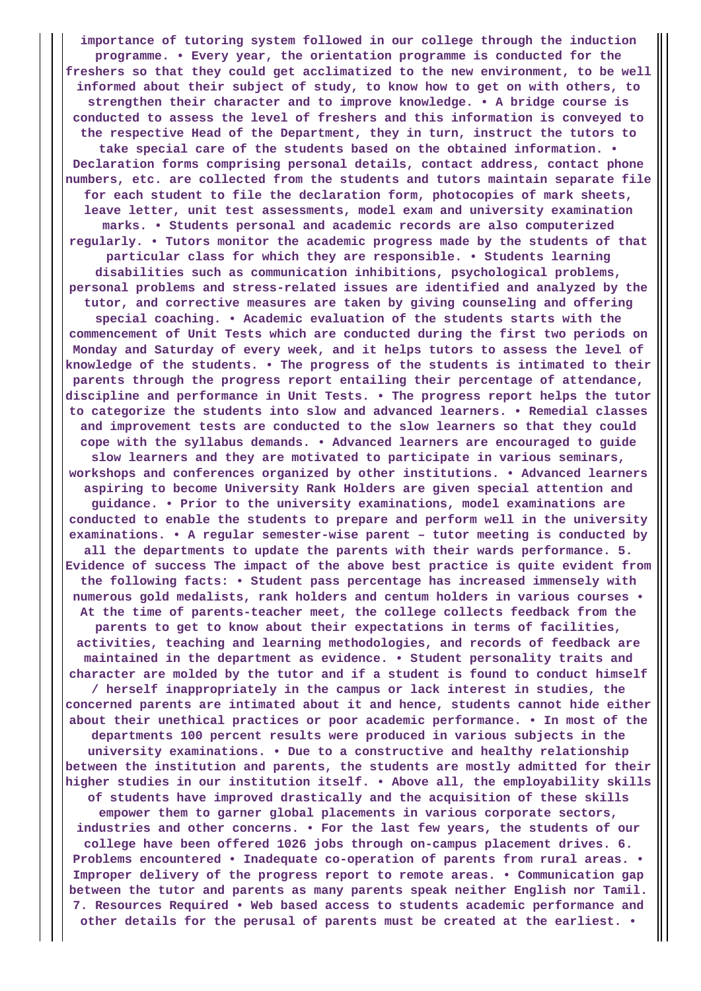**importance of tutoring system followed in our college through the induction programme. • Every year, the orientation programme is conducted for the freshers so that they could get acclimatized to the new environment, to be well informed about their subject of study, to know how to get on with others, to strengthen their character and to improve knowledge. • A bridge course is conducted to assess the level of freshers and this information is conveyed to the respective Head of the Department, they in turn, instruct the tutors to take special care of the students based on the obtained information. • Declaration forms comprising personal details, contact address, contact phone numbers, etc. are collected from the students and tutors maintain separate file for each student to file the declaration form, photocopies of mark sheets, leave letter, unit test assessments, model exam and university examination marks. • Students personal and academic records are also computerized regularly. • Tutors monitor the academic progress made by the students of that particular class for which they are responsible. • Students learning disabilities such as communication inhibitions, psychological problems, personal problems and stress-related issues are identified and analyzed by the tutor, and corrective measures are taken by giving counseling and offering special coaching. • Academic evaluation of the students starts with the commencement of Unit Tests which are conducted during the first two periods on Monday and Saturday of every week, and it helps tutors to assess the level of knowledge of the students. • The progress of the students is intimated to their parents through the progress report entailing their percentage of attendance, discipline and performance in Unit Tests. • The progress report helps the tutor to categorize the students into slow and advanced learners. • Remedial classes and improvement tests are conducted to the slow learners so that they could cope with the syllabus demands. • Advanced learners are encouraged to guide slow learners and they are motivated to participate in various seminars, workshops and conferences organized by other institutions. • Advanced learners aspiring to become University Rank Holders are given special attention and guidance. • Prior to the university examinations, model examinations are conducted to enable the students to prepare and perform well in the university examinations. • A regular semester-wise parent – tutor meeting is conducted by all the departments to update the parents with their wards performance. 5. Evidence of success The impact of the above best practice is quite evident from the following facts: • Student pass percentage has increased immensely with numerous gold medalists, rank holders and centum holders in various courses • At the time of parents-teacher meet, the college collects feedback from the parents to get to know about their expectations in terms of facilities, activities, teaching and learning methodologies, and records of feedback are maintained in the department as evidence. • Student personality traits and character are molded by the tutor and if a student is found to conduct himself / herself inappropriately in the campus or lack interest in studies, the concerned parents are intimated about it and hence, students cannot hide either about their unethical practices or poor academic performance. • In most of the departments 100 percent results were produced in various subjects in the university examinations. • Due to a constructive and healthy relationship between the institution and parents, the students are mostly admitted for their higher studies in our institution itself. • Above all, the employability skills of students have improved drastically and the acquisition of these skills empower them to garner global placements in various corporate sectors, industries and other concerns. • For the last few years, the students of our college have been offered 1026 jobs through on-campus placement drives. 6. Problems encountered • Inadequate co-operation of parents from rural areas. • Improper delivery of the progress report to remote areas. • Communication gap between the tutor and parents as many parents speak neither English nor Tamil. 7. Resources Required • Web based access to students academic performance and other details for the perusal of parents must be created at the earliest. •**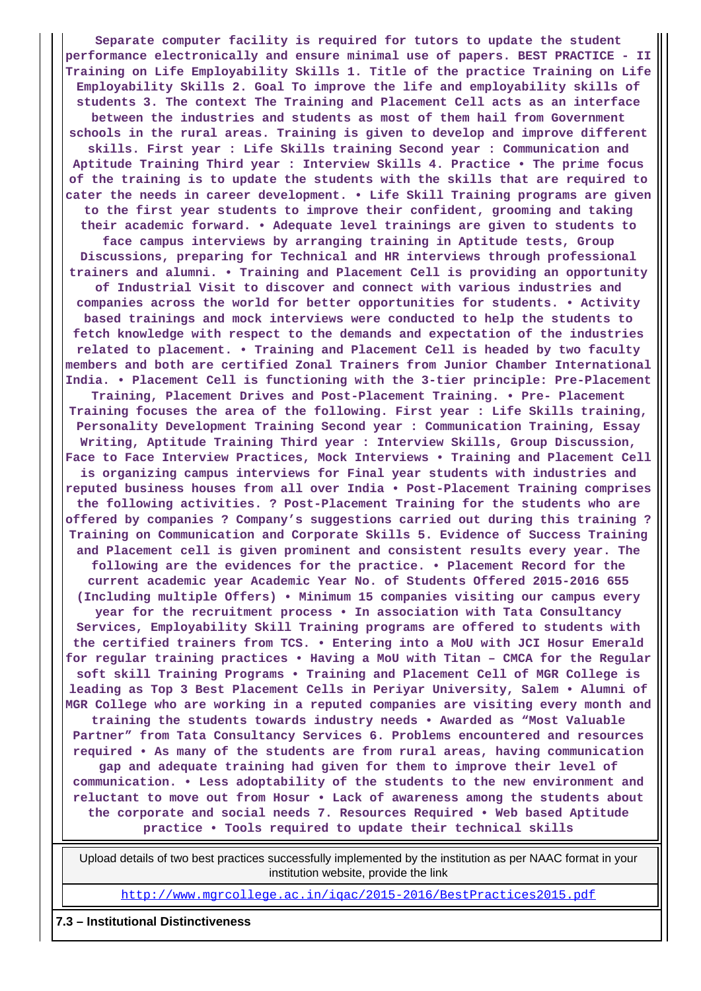**Separate computer facility is required for tutors to update the student performance electronically and ensure minimal use of papers. BEST PRACTICE - II Training on Life Employability Skills 1. Title of the practice Training on Life Employability Skills 2. Goal To improve the life and employability skills of students 3. The context The Training and Placement Cell acts as an interface between the industries and students as most of them hail from Government schools in the rural areas. Training is given to develop and improve different skills. First year : Life Skills training Second year : Communication and Aptitude Training Third year : Interview Skills 4. Practice • The prime focus of the training is to update the students with the skills that are required to cater the needs in career development. • Life Skill Training programs are given to the first year students to improve their confident, grooming and taking their academic forward. • Adequate level trainings are given to students to face campus interviews by arranging training in Aptitude tests, Group Discussions, preparing for Technical and HR interviews through professional trainers and alumni. • Training and Placement Cell is providing an opportunity of Industrial Visit to discover and connect with various industries and companies across the world for better opportunities for students. • Activity based trainings and mock interviews were conducted to help the students to fetch knowledge with respect to the demands and expectation of the industries related to placement. • Training and Placement Cell is headed by two faculty members and both are certified Zonal Trainers from Junior Chamber International India. • Placement Cell is functioning with the 3-tier principle: Pre-Placement Training, Placement Drives and Post-Placement Training. • Pre- Placement Training focuses the area of the following. First year : Life Skills training, Personality Development Training Second year : Communication Training, Essay Writing, Aptitude Training Third year : Interview Skills, Group Discussion, Face to Face Interview Practices, Mock Interviews • Training and Placement Cell is organizing campus interviews for Final year students with industries and reputed business houses from all over India • Post-Placement Training comprises the following activities. ? Post-Placement Training for the students who are offered by companies ? Company's suggestions carried out during this training ? Training on Communication and Corporate Skills 5. Evidence of Success Training and Placement cell is given prominent and consistent results every year. The following are the evidences for the practice. • Placement Record for the current academic year Academic Year No. of Students Offered 2015-2016 655 (Including multiple Offers) • Minimum 15 companies visiting our campus every year for the recruitment process • In association with Tata Consultancy Services, Employability Skill Training programs are offered to students with the certified trainers from TCS. • Entering into a MoU with JCI Hosur Emerald for regular training practices • Having a MoU with Titan – CMCA for the Regular soft skill Training Programs • Training and Placement Cell of MGR College is leading as Top 3 Best Placement Cells in Periyar University, Salem • Alumni of MGR College who are working in a reputed companies are visiting every month and training the students towards industry needs • Awarded as "Most Valuable Partner" from Tata Consultancy Services 6. Problems encountered and resources required • As many of the students are from rural areas, having communication gap and adequate training had given for them to improve their level of communication. • Less adoptability of the students to the new environment and reluctant to move out from Hosur • Lack of awareness among the students about the corporate and social needs 7. Resources Required • Web based Aptitude practice • Tools required to update their technical skills**

 Upload details of two best practices successfully implemented by the institution as per NAAC format in your institution website, provide the link

<http://www.mgrcollege.ac.in/iqac/2015-2016/BestPractices2015.pdf>

#### **7.3 – Institutional Distinctiveness**